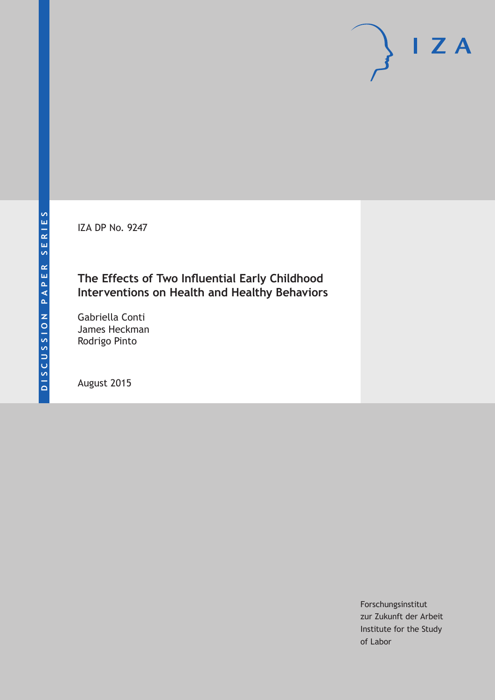IZA DP No. 9247

# **The Effects of Two Influential Early Childhood Interventions on Health and Healthy Behaviors**

Gabriella Conti James Heckman Rodrigo Pinto

August 2015

Forschungsinstitut zur Zukunft der Arbeit Institute for the Study of Labor

 $I Z A$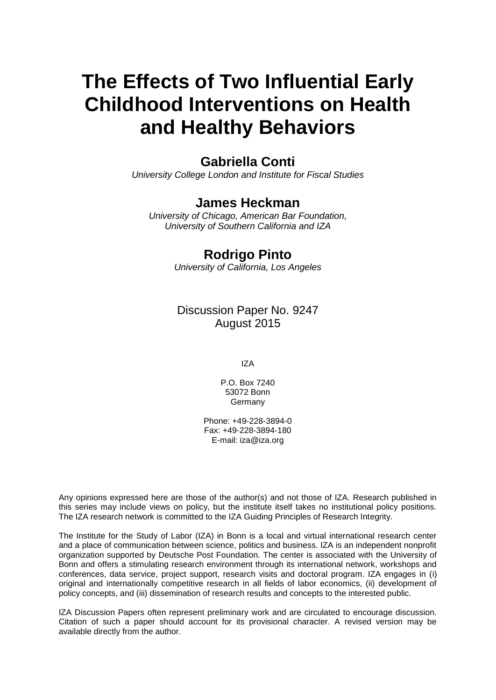# **The Effects of Two Influential Early Childhood Interventions on Health and Healthy Behaviors**

# **Gabriella Conti**

*University College London and Institute for Fiscal Studies*

## **James Heckman**

*University of Chicago, American Bar Foundation, University of Southern California and IZA*

# **Rodrigo Pinto**

*University of California, Los Angeles*

Discussion Paper No. 9247 August 2015

IZA

P.O. Box 7240 53072 Bonn **Germany** 

Phone: +49-228-3894-0 Fax: +49-228-3894-180 E-mail: iza@iza.org

Any opinions expressed here are those of the author(s) and not those of IZA. Research published in this series may include views on policy, but the institute itself takes no institutional policy positions. The IZA research network is committed to the IZA Guiding Principles of Research Integrity.

The Institute for the Study of Labor (IZA) in Bonn is a local and virtual international research center and a place of communication between science, politics and business. IZA is an independent nonprofit organization supported by Deutsche Post Foundation. The center is associated with the University of Bonn and offers a stimulating research environment through its international network, workshops and conferences, data service, project support, research visits and doctoral program. IZA engages in (i) original and internationally competitive research in all fields of labor economics, (ii) development of policy concepts, and (iii) dissemination of research results and concepts to the interested public.

IZA Discussion Papers often represent preliminary work and are circulated to encourage discussion. Citation of such a paper should account for its provisional character. A revised version may be available directly from the author.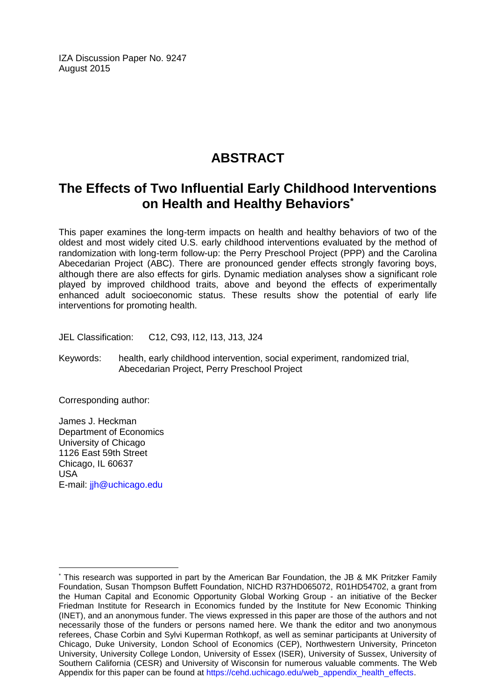IZA Discussion Paper No. 9247 August 2015

# **ABSTRACT**

# **The Effects of Two Influential Early Childhood Interventions on Health and Healthy Behaviors\***

This paper examines the long-term impacts on health and healthy behaviors of two of the oldest and most widely cited U.S. early childhood interventions evaluated by the method of randomization with long-term follow-up: the Perry Preschool Project (PPP) and the Carolina Abecedarian Project (ABC). There are pronounced gender effects strongly favoring boys, although there are also effects for girls. Dynamic mediation analyses show a significant role played by improved childhood traits, above and beyond the effects of experimentally enhanced adult socioeconomic status. These results show the potential of early life interventions for promoting health.

JEL Classification: C12, C93, I12, I13, J13, J24

Keywords: health, early childhood intervention, social experiment, randomized trial, Abecedarian Project, Perry Preschool Project

Corresponding author:

James J. Heckman Department of Economics University of Chicago 1126 East 59th Street Chicago, IL 60637 USA E-mail: [jjh@uchicago.edu](mailto:jjh@uchicago.edu)

 $\overline{a}$ 

<sup>\*</sup> This research was supported in part by the American Bar Foundation, the JB & MK Pritzker Family Foundation, Susan Thompson Buffett Foundation, NICHD R37HD065072, R01HD54702, a grant from the Human Capital and Economic Opportunity Global Working Group - an initiative of the Becker Friedman Institute for Research in Economics funded by the Institute for New Economic Thinking (INET), and an anonymous funder. The views expressed in this paper are those of the authors and not necessarily those of the funders or persons named here. We thank the editor and two anonymous referees, Chase Corbin and Sylvi Kuperman Rothkopf, as well as seminar participants at University of Chicago, Duke University, London School of Economics (CEP), Northwestern University, Princeton University, University College London, University of Essex (ISER), University of Sussex, University of Southern California (CESR) and University of Wisconsin for numerous valuable comments. The Web Appendix for this paper can be found at [https://cehd.uchicago.edu/web\\_appendix\\_health\\_effects.](https://cehd.uchicago.edu/web_appendix_health_effects)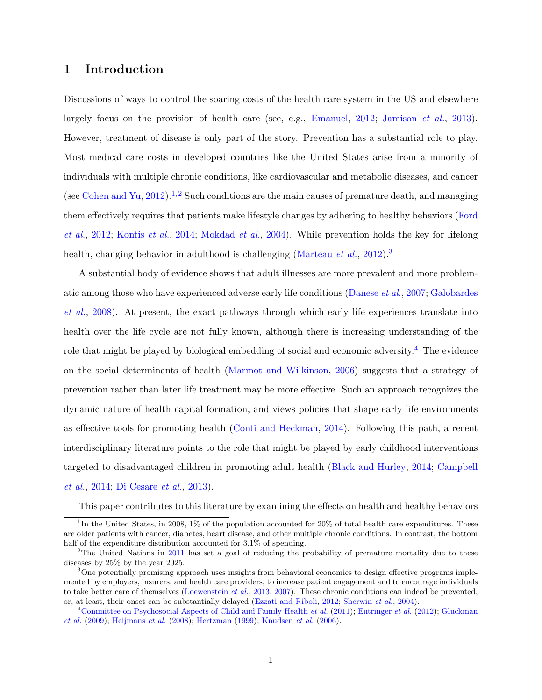## <span id="page-3-0"></span>1 Introduction

Discussions of ways to control the soaring costs of the health care system in the US and elsewhere largely focus on the provision of health care (see, e.g., [Emanuel,](#page-45-0) [2012;](#page-45-0) [Jamison](#page-48-0) et al., [2013\)](#page-48-0). However, treatment of disease is only part of the story. Prevention has a substantial role to play. Most medical care costs in developed countries like the United States arise from a minority of individuals with multiple chronic conditions, like cardiovascular and metabolic diseases, and cancer (see [Cohen and Yu,](#page-44-0) [2012\)](#page-44-0).<sup>[1](#page--1-0),[2](#page--1-0)</sup> Such conditions are the main causes of premature death, and managing them effectively requires that patients make lifestyle changes by adhering to healthy behaviors [\(Ford](#page-46-0) [et al.](#page-46-0), [2012;](#page-46-0) [Kontis](#page-49-0) et al., [2014;](#page-49-0) [Mokdad](#page-51-0) et al., [2004\)](#page-51-0). While prevention holds the key for lifelong health, changing behavior in adulthood is challenging [\(Marteau](#page-50-0) *et al.*, [2012\)](#page-50-0).<sup>[3](#page--1-0)</sup>

A substantial body of evidence shows that adult illnesses are more prevalent and more problematic among those who have experienced adverse early life conditions [\(Danese](#page-45-1) et al., [2007;](#page-45-1) [Galobardes](#page-46-1) [et al.](#page-46-1), [2008\)](#page-46-1). At present, the exact pathways through which early life experiences translate into health over the life cycle are not fully known, although there is increasing understanding of the role that might be played by biological embedding of social and economic adversity.[4](#page--1-0) The evidence on the social determinants of health [\(Marmot and Wilkinson,](#page-50-1) [2006\)](#page-50-1) suggests that a strategy of prevention rather than later life treatment may be more effective. Such an approach recognizes the dynamic nature of health capital formation, and views policies that shape early life environments as effective tools for promoting health [\(Conti and Heckman,](#page-44-1) [2014\)](#page-44-1). Following this path, a recent interdisciplinary literature points to the role that might be played by early childhood interventions targeted to disadvantaged children in promoting adult health [\(Black and Hurley,](#page-43-0) [2014;](#page-43-0) [Campbell](#page-43-1) [et al.](#page-43-1), [2014;](#page-43-1) [Di Cesare](#page-45-2) et al., [2013\)](#page-45-2).

This paper contributes to this literature by examining the effects on health and healthy behaviors

<sup>&</sup>lt;sup>1</sup>In the United States, in 2008, 1% of the population accounted for 20% of total health care expenditures. These are older patients with cancer, diabetes, heart disease, and other multiple chronic conditions. In contrast, the bottom half of the expenditure distribution accounted for 3.1% of spending.

<sup>&</sup>lt;sup>2</sup>The United Nations in [2011](#page-46-2) has set a goal of reducing the probability of premature mortality due to these diseases by 25% by the year 2025.

<sup>&</sup>lt;sup>3</sup>One potentially promising approach uses insights from behavioral economics to design effective programs implemented by employers, insurers, and health care providers, to increase patient engagement and to encourage individuals to take better care of themselves [\(Loewenstein](#page-49-1) *et al.*, [2013,](#page-49-1) [2007\)](#page-49-2). These chronic conditions can indeed be prevented, or, at least, their onset can be substantially delayed [\(Ezzati and Riboli,](#page-46-3) [2012;](#page-46-3) [Sherwin](#page-53-0) et al., [2004\)](#page-53-0).

<sup>&</sup>lt;sup>4</sup>[Committee on Psychosocial Aspects of Child and Family Health](#page-44-2) *et al.* [\(2011\)](#page-44-2); [Entringer](#page-46-4) *et al.* [\(2012\)](#page-46-4); [Gluckman](#page-47-0) [et al.](#page-47-0) [\(2009\)](#page-47-0); [Heijmans](#page-48-1) et al. [\(2008\)](#page-48-1); [Hertzman](#page-48-2) [\(1999\)](#page-48-2); [Knudsen](#page-49-3) et al. [\(2006\)](#page-49-3).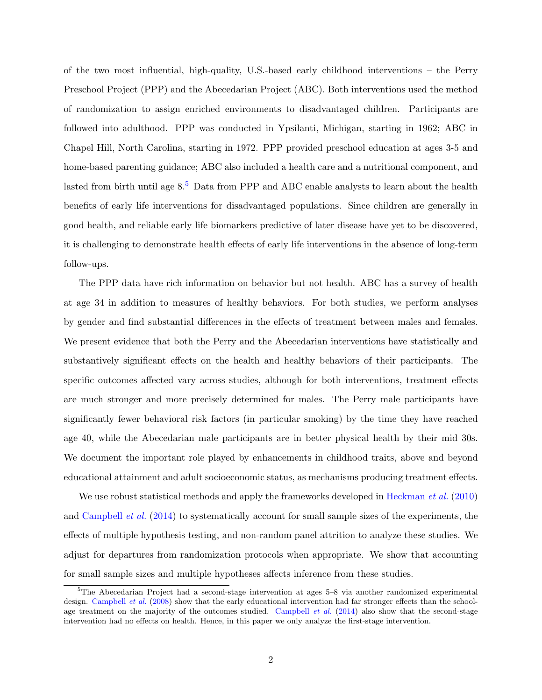of the two most influential, high-quality, U.S.-based early childhood interventions – the Perry Preschool Project (PPP) and the Abecedarian Project (ABC). Both interventions used the method of randomization to assign enriched environments to disadvantaged children. Participants are followed into adulthood. PPP was conducted in Ypsilanti, Michigan, starting in 1962; ABC in Chapel Hill, North Carolina, starting in 1972. PPP provided preschool education at ages 3-5 and home-based parenting guidance; ABC also included a health care and a nutritional component, and lasted from birth until age  $8.5$  $8.5$  Data from PPP and ABC enable analysts to learn about the health benefits of early life interventions for disadvantaged populations. Since children are generally in good health, and reliable early life biomarkers predictive of later disease have yet to be discovered, it is challenging to demonstrate health effects of early life interventions in the absence of long-term follow-ups.

The PPP data have rich information on behavior but not health. ABC has a survey of health at age 34 in addition to measures of healthy behaviors. For both studies, we perform analyses by gender and find substantial differences in the effects of treatment between males and females. We present evidence that both the Perry and the Abecedarian interventions have statistically and substantively significant effects on the health and healthy behaviors of their participants. The specific outcomes affected vary across studies, although for both interventions, treatment effects are much stronger and more precisely determined for males. The Perry male participants have significantly fewer behavioral risk factors (in particular smoking) by the time they have reached age 40, while the Abecedarian male participants are in better physical health by their mid 30s. We document the important role played by enhancements in childhood traits, above and beyond educational attainment and adult socioeconomic status, as mechanisms producing treatment effects.

We use robust statistical methods and apply the frameworks developed in [Heckman](#page-47-1) *et al.* [\(2010\)](#page-47-1) and [Campbell](#page-43-1) et al. [\(2014\)](#page-43-1) to systematically account for small sample sizes of the experiments, the effects of multiple hypothesis testing, and non-random panel attrition to analyze these studies. We adjust for departures from randomization protocols when appropriate. We show that accounting for small sample sizes and multiple hypotheses affects inference from these studies.

<sup>5</sup>The Abecedarian Project had a second-stage intervention at ages 5–8 via another randomized experimental design. [Campbell](#page-43-2) et al. [\(2008\)](#page-43-2) show that the early educational intervention had far stronger effects than the school-age treatment on the majority of the outcomes studied. [Campbell](#page-43-1) *et al.* [\(2014\)](#page-43-1) also show that the second-stage intervention had no effects on health. Hence, in this paper we only analyze the first-stage intervention.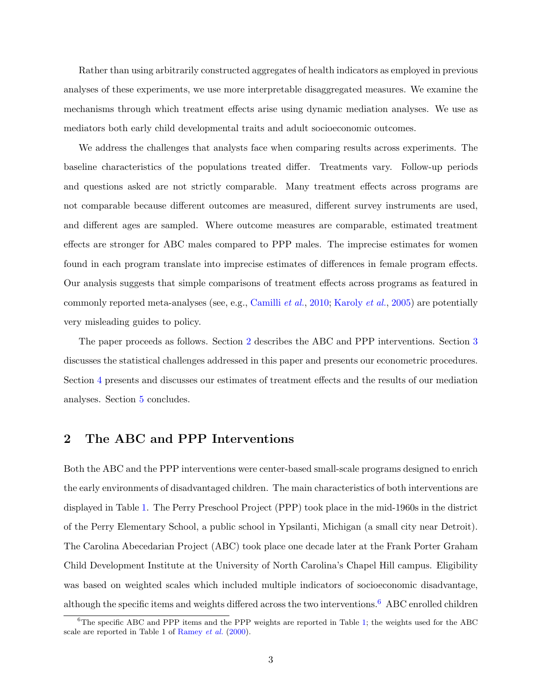Rather than using arbitrarily constructed aggregates of health indicators as employed in previous analyses of these experiments, we use more interpretable disaggregated measures. We examine the mechanisms through which treatment effects arise using dynamic mediation analyses. We use as mediators both early child developmental traits and adult socioeconomic outcomes.

We address the challenges that analysts face when comparing results across experiments. The baseline characteristics of the populations treated differ. Treatments vary. Follow-up periods and questions asked are not strictly comparable. Many treatment effects across programs are not comparable because different outcomes are measured, different survey instruments are used, and different ages are sampled. Where outcome measures are comparable, estimated treatment effects are stronger for ABC males compared to PPP males. The imprecise estimates for women found in each program translate into imprecise estimates of differences in female program effects. Our analysis suggests that simple comparisons of treatment effects across programs as featured in commonly reported meta-analyses (see, e.g., [Camilli](#page-43-3) et al., [2010;](#page-43-3) [Karoly](#page-49-4) et al., [2005\)](#page-49-4) are potentially very misleading guides to policy.

The paper proceeds as follows. Section [2](#page-5-0) describes the ABC and PPP interventions. Section [3](#page-13-0) discusses the statistical challenges addressed in this paper and presents our econometric procedures. Section [4](#page-21-0) presents and discusses our estimates of treatment effects and the results of our mediation analyses. Section [5](#page-30-0) concludes.

## <span id="page-5-0"></span>2 The ABC and PPP Interventions

Both the ABC and the PPP interventions were center-based small-scale programs designed to enrich the early environments of disadvantaged children. The main characteristics of both interventions are displayed in Table [1.](#page-32-0) The Perry Preschool Project (PPP) took place in the mid-1960s in the district of the Perry Elementary School, a public school in Ypsilanti, Michigan (a small city near Detroit). The Carolina Abecedarian Project (ABC) took place one decade later at the Frank Porter Graham Child Development Institute at the University of North Carolina's Chapel Hill campus. Eligibility was based on weighted scales which included multiple indicators of socioeconomic disadvantage, although the specific items and weights differed across the two interventions.<sup>[6](#page--1-0)</sup> ABC enrolled children

 ${}^{6}$ The specific ABC and PPP items and the PPP weights are reported in Table [1;](#page-32-0) the weights used for the ABC scale are reported in Table 1 of [Ramey](#page-52-0) et al. [\(2000\)](#page-52-0).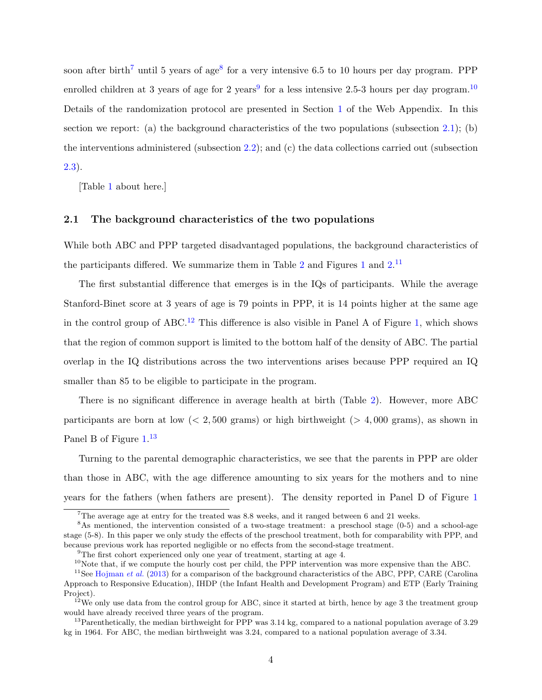soon after birth<sup>[7](#page--1-0)</sup> until 5 years of age<sup>[8](#page--1-0)</sup> for a very intensive 6.5 to 10 hours per day program. PPP enrolled children at 3 years of age for 2 years<sup>[9](#page--1-0)</sup> for a less intensive 2.5-3 hours per day program.<sup>[10](#page--1-0)</sup> Details of the randomization protocol are presented in Section [1](#page-3-0) of the Web Appendix. In this section we report: (a) the background characteristics of the two populations (subsection [2.1\)](#page-6-0); (b) the interventions administered (subsection [2.2\)](#page-7-0); and (c) the data collections carried out (subsection [2.3\)](#page-12-0).

[Table [1](#page-32-0) about here.]

#### <span id="page-6-0"></span>2.1 The background characteristics of the two populations

While both ABC and PPP targeted disadvantaged populations, the background characteristics of the participants differed. We summarize them in Table [2](#page-33-0) and Figures [1](#page-34-0) and  $2^{11}$  $2^{11}$  $2^{11}$ 

The first substantial difference that emerges is in the IQs of participants. While the average Stanford-Binet score at 3 years of age is 79 points in PPP, it is 14 points higher at the same age in the control group of  $ABC^{12}$  $ABC^{12}$  $ABC^{12}$ . This difference is also visible in Panel A of Figure [1,](#page-34-0) which shows that the region of common support is limited to the bottom half of the density of ABC. The partial overlap in the IQ distributions across the two interventions arises because PPP required an IQ smaller than 85 to be eligible to participate in the program.

There is no significant difference in average health at birth (Table [2\)](#page-33-0). However, more ABC participants are born at low  $\langle 2, 500 \text{ grams} \rangle$  or high birthweight  $\langle 2, 4, 000 \text{ grams} \rangle$ , as shown in Panel B of Figure [1.](#page-34-0)<sup>[13](#page--1-0)</sup>

Turning to the parental demographic characteristics, we see that the parents in PPP are older than those in ABC, with the age difference amounting to six years for the mothers and to nine years for the fathers (when fathers are present). The density reported in Panel D of Figure [1](#page-34-0)

<sup>7</sup>The average age at entry for the treated was 8.8 weeks, and it ranged between 6 and 21 weeks.

<sup>&</sup>lt;sup>8</sup>As mentioned, the intervention consisted of a two-stage treatment: a preschool stage (0-5) and a school-age stage (5-8). In this paper we only study the effects of the preschool treatment, both for comparability with PPP, and because previous work has reported negligible or no effects from the second-stage treatment.

<sup>&</sup>lt;sup>9</sup>The first cohort experienced only one year of treatment, starting at age 4.

 $10$ Note that, if we compute the hourly cost per child, the PPP intervention was more expensive than the ABC.

<sup>&</sup>lt;sup>11</sup>See [Hojman](#page-48-3) *et al.* [\(2013\)](#page-48-3) for a comparison of the background characteristics of the ABC, PPP, CARE (Carolina Approach to Responsive Education), IHDP (the Infant Health and Development Program) and ETP (Early Training Project).

 $12$ We only use data from the control group for ABC, since it started at birth, hence by age 3 the treatment group would have already received three years of the program.

<sup>&</sup>lt;sup>13</sup>Parenthetically, the median birthweight for PPP was  $3.14 \text{ kg}$ , compared to a national population average of  $3.29$ kg in 1964. For ABC, the median birthweight was 3.24, compared to a national population average of 3.34.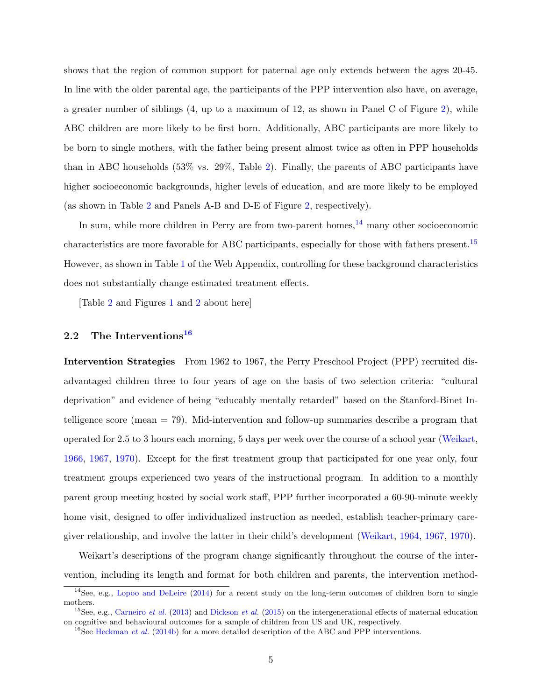shows that the region of common support for paternal age only extends between the ages 20-45. In line with the older parental age, the participants of the PPP intervention also have, on average, a greater number of siblings (4, up to a maximum of 12, as shown in Panel C of Figure [2\)](#page-35-0), while ABC children are more likely to be first born. Additionally, ABC participants are more likely to be born to single mothers, with the father being present almost twice as often in PPP households than in ABC households (53% vs. 29%, Table [2\)](#page-33-0). Finally, the parents of ABC participants have higher socioeconomic backgrounds, higher levels of education, and are more likely to be employed (as shown in Table [2](#page-33-0) and Panels A-B and D-E of Figure [2,](#page-35-0) respectively).

In sum, while more children in Perry are from two-parent homes, $14$  many other socioeconomic characteristics are more favorable for ABC participants, especially for those with fathers present.[15](#page--1-0) However, as shown in Table [1](#page--1-0) of the Web Appendix, controlling for these background characteristics does not substantially change estimated treatment effects.

[Table [2](#page-33-0) and Figures [1](#page-34-0) and [2](#page-35-0) about here]

## <span id="page-7-0"></span>2.2 The Interventions<sup>[16](#page--1-0)</sup>

Intervention Strategies From 1962 to 1967, the Perry Preschool Project (PPP) recruited disadvantaged children three to four years of age on the basis of two selection criteria: "cultural deprivation" and evidence of being "educably mentally retarded" based on the Stanford-Binet Intelligence score (mean = 79). Mid-intervention and follow-up summaries describe a program that operated for 2.5 to 3 hours each morning, 5 days per week over the course of a school year [\(Weikart,](#page-54-0) [1966,](#page-54-0) [1967,](#page-54-1) [1970\)](#page-54-2). Except for the first treatment group that participated for one year only, four treatment groups experienced two years of the instructional program. In addition to a monthly parent group meeting hosted by social work staff, PPP further incorporated a 60-90-minute weekly home visit, designed to offer individualized instruction as needed, establish teacher-primary caregiver relationship, and involve the latter in their child's development [\(Weikart,](#page-54-3) [1964,](#page-54-3) [1967,](#page-54-1) [1970\)](#page-54-2).

Weikart's descriptions of the program change significantly throughout the course of the intervention, including its length and format for both children and parents, the intervention method-

<sup>&</sup>lt;sup>14</sup>See, e.g., [Lopoo and DeLeire](#page-50-2) [\(2014\)](#page-50-2) for a recent study on the long-term outcomes of children born to single mothers.

<sup>&</sup>lt;sup>15</sup>See, e.g., [Carneiro](#page-44-3) et al. [\(2013\)](#page-44-3) and [Dickson](#page-45-3) et al. [\(2015\)](#page-45-3) on the intergenerational effects of maternal education on cognitive and behavioural outcomes for a sample of children from US and UK, respectively.

<sup>&</sup>lt;sup>16</sup>See [Heckman](#page-47-2) *et al.* [\(2014b\)](#page-47-2) for a more detailed description of the ABC and PPP interventions.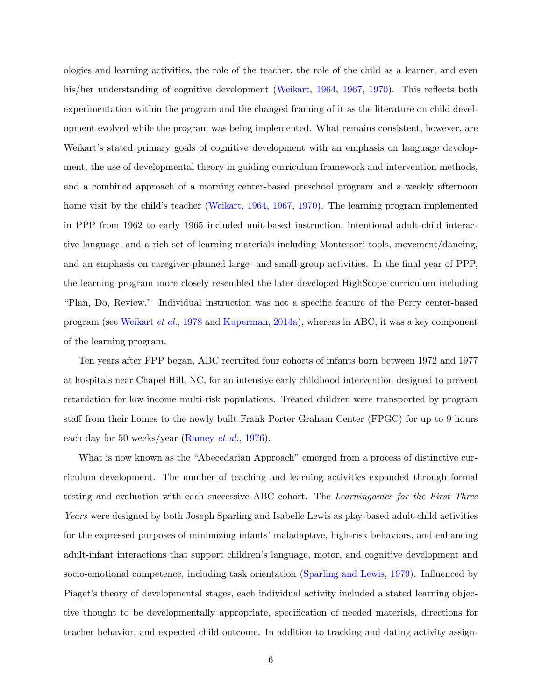ologies and learning activities, the role of the teacher, the role of the child as a learner, and even his/her understanding of cognitive development [\(Weikart,](#page-54-3) [1964,](#page-54-3) [1967,](#page-54-1) [1970\)](#page-54-2). This reflects both experimentation within the program and the changed framing of it as the literature on child development evolved while the program was being implemented. What remains consistent, however, are Weikart's stated primary goals of cognitive development with an emphasis on language development, the use of developmental theory in guiding curriculum framework and intervention methods, and a combined approach of a morning center-based preschool program and a weekly afternoon home visit by the child's teacher [\(Weikart,](#page-54-3) [1964,](#page-54-3) [1967,](#page-54-1) [1970\)](#page-54-2). The learning program implemented in PPP from 1962 to early 1965 included unit-based instruction, intentional adult-child interactive language, and a rich set of learning materials including Montessori tools, movement/dancing, and an emphasis on caregiver-planned large- and small-group activities. In the final year of PPP, the learning program more closely resembled the later developed HighScope curriculum including "Plan, Do, Review." Individual instruction was not a specific feature of the Perry center-based program (see [Weikart](#page-54-4) et al., [1978](#page-54-4) and [Kuperman,](#page-49-5) [2014a\)](#page-49-5), whereas in ABC, it was a key component of the learning program.

Ten years after PPP began, ABC recruited four cohorts of infants born between 1972 and 1977 at hospitals near Chapel Hill, NC, for an intensive early childhood intervention designed to prevent retardation for low-income multi-risk populations. Treated children were transported by program staff from their homes to the newly built Frank Porter Graham Center (FPGC) for up to 9 hours each day for 50 weeks/year [\(Ramey](#page-52-1) *et al.*, [1976\)](#page-52-1).

What is now known as the "Abecedarian Approach" emerged from a process of distinctive curriculum development. The number of teaching and learning activities expanded through formal testing and evaluation with each successive ABC cohort. The Learningames for the First Three Years were designed by both Joseph Sparling and Isabelle Lewis as play-based adult-child activities for the expressed purposes of minimizing infants' maladaptive, high-risk behaviors, and enhancing adult-infant interactions that support children's language, motor, and cognitive development and socio-emotional competence, including task orientation [\(Sparling and Lewis,](#page-53-1) [1979\)](#page-53-1). Influenced by Piaget's theory of developmental stages, each individual activity included a stated learning objective thought to be developmentally appropriate, specification of needed materials, directions for teacher behavior, and expected child outcome. In addition to tracking and dating activity assign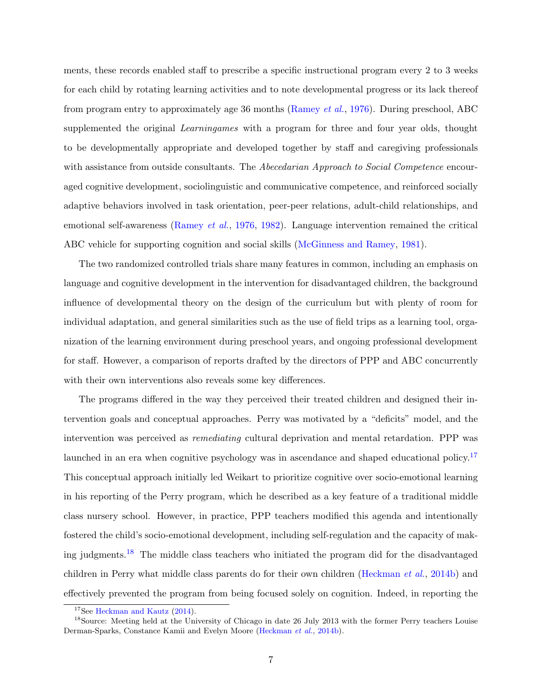ments, these records enabled staff to prescribe a specific instructional program every 2 to 3 weeks for each child by rotating learning activities and to note developmental progress or its lack thereof from program entry to approximately age 36 months [\(Ramey](#page-52-1) et al., [1976\)](#page-52-1). During preschool, ABC supplemented the original *Learningames* with a program for three and four year olds, thought to be developmentally appropriate and developed together by staff and caregiving professionals with assistance from outside consultants. The Abecedarian Approach to Social Competence encouraged cognitive development, sociolinguistic and communicative competence, and reinforced socially adaptive behaviors involved in task orientation, peer-peer relations, adult-child relationships, and emotional self-awareness [\(Ramey](#page-52-1) et al., [1976,](#page-52-1) [1982\)](#page-52-2). Language intervention remained the critical ABC vehicle for supporting cognition and social skills [\(McGinness and Ramey,](#page-50-3) [1981\)](#page-50-3).

The two randomized controlled trials share many features in common, including an emphasis on language and cognitive development in the intervention for disadvantaged children, the background influence of developmental theory on the design of the curriculum but with plenty of room for individual adaptation, and general similarities such as the use of field trips as a learning tool, organization of the learning environment during preschool years, and ongoing professional development for staff. However, a comparison of reports drafted by the directors of PPP and ABC concurrently with their own interventions also reveals some key differences.

The programs differed in the way they perceived their treated children and designed their intervention goals and conceptual approaches. Perry was motivated by a "deficits" model, and the intervention was perceived as remediating cultural deprivation and mental retardation. PPP was launched in an era when cognitive psychology was in ascendance and shaped educational policy.<sup>[17](#page--1-0)</sup> This conceptual approach initially led Weikart to prioritize cognitive over socio-emotional learning in his reporting of the Perry program, which he described as a key feature of a traditional middle class nursery school. However, in practice, PPP teachers modified this agenda and intentionally fostered the child's socio-emotional development, including self-regulation and the capacity of mak-ing judgments.<sup>[18](#page--1-0)</sup> The middle class teachers who initiated the program did for the disadvantaged children in Perry what middle class parents do for their own children [\(Heckman](#page-47-2) et al., [2014b\)](#page-47-2) and effectively prevented the program from being focused solely on cognition. Indeed, in reporting the

<sup>&</sup>lt;sup>17</sup>See [Heckman and Kautz](#page-47-3) [\(2014\)](#page-47-3).

<sup>&</sup>lt;sup>18</sup>Source: Meeting held at the University of Chicago in date 26 July 2013 with the former Perry teachers Louise Derman-Sparks, Constance Kamii and Evelyn Moore [\(Heckman](#page-47-2) et al., [2014b\)](#page-47-2).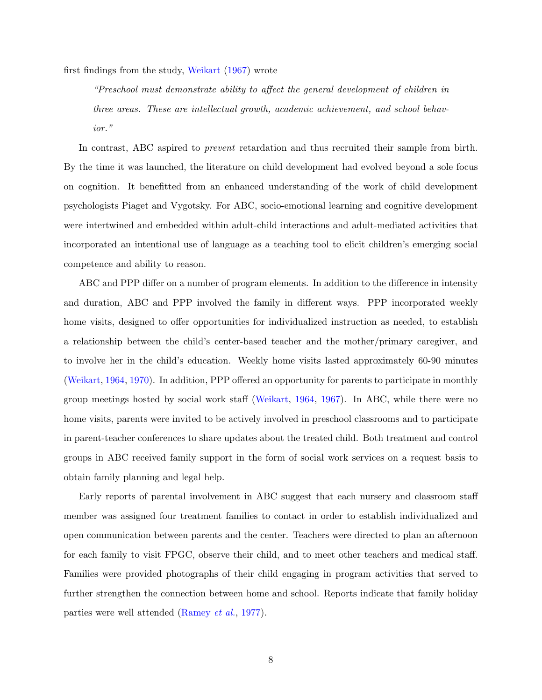first findings from the study, [Weikart](#page-54-1) [\(1967\)](#page-54-1) wrote

"Preschool must demonstrate ability to affect the general development of children in three areas. These are intellectual growth, academic achievement, and school behavior."

In contrast, ABC aspired to prevent retardation and thus recruited their sample from birth. By the time it was launched, the literature on child development had evolved beyond a sole focus on cognition. It benefitted from an enhanced understanding of the work of child development psychologists Piaget and Vygotsky. For ABC, socio-emotional learning and cognitive development were intertwined and embedded within adult-child interactions and adult-mediated activities that incorporated an intentional use of language as a teaching tool to elicit children's emerging social competence and ability to reason.

ABC and PPP differ on a number of program elements. In addition to the difference in intensity and duration, ABC and PPP involved the family in different ways. PPP incorporated weekly home visits, designed to offer opportunities for individualized instruction as needed, to establish a relationship between the child's center-based teacher and the mother/primary caregiver, and to involve her in the child's education. Weekly home visits lasted approximately 60-90 minutes [\(Weikart,](#page-54-3) [1964,](#page-54-3) [1970\)](#page-54-2). In addition, PPP offered an opportunity for parents to participate in monthly group meetings hosted by social work staff [\(Weikart,](#page-54-3) [1964,](#page-54-3) [1967\)](#page-54-1). In ABC, while there were no home visits, parents were invited to be actively involved in preschool classrooms and to participate in parent-teacher conferences to share updates about the treated child. Both treatment and control groups in ABC received family support in the form of social work services on a request basis to obtain family planning and legal help.

Early reports of parental involvement in ABC suggest that each nursery and classroom staff member was assigned four treatment families to contact in order to establish individualized and open communication between parents and the center. Teachers were directed to plan an afternoon for each family to visit FPGC, observe their child, and to meet other teachers and medical staff. Families were provided photographs of their child engaging in program activities that served to further strengthen the connection between home and school. Reports indicate that family holiday parties were well attended [\(Ramey](#page-52-3) et al., [1977\)](#page-52-3).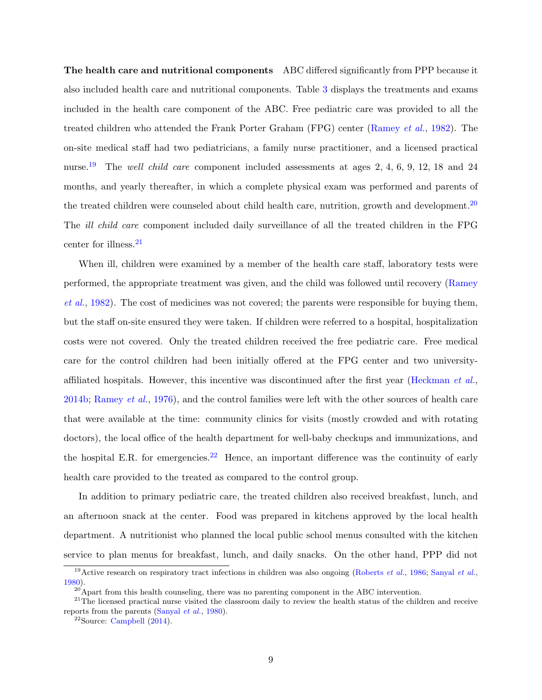The health care and nutritional components ABC differed significantly from PPP because it also included health care and nutritional components. Table [3](#page-36-0) displays the treatments and exams included in the health care component of the ABC. Free pediatric care was provided to all the treated children who attended the Frank Porter Graham (FPG) center [\(Ramey](#page-52-2) et al., [1982\)](#page-52-2). The on-site medical staff had two pediatricians, a family nurse practitioner, and a licensed practical nurse.<sup>[19](#page--1-0)</sup> The *well child care* component included assessments at ages 2, 4, 6, 9, 12, 18 and 24 months, and yearly thereafter, in which a complete physical exam was performed and parents of the treated children were counseled about child health care, nutrition, growth and development.<sup>[20](#page--1-0)</sup> The ill child care component included daily surveillance of all the treated children in the FPG center for illness.<sup>[21](#page--1-0)</sup>

When ill, children were examined by a member of the health care staff, laboratory tests were performed, the appropriate treatment was given, and the child was followed until recovery [\(Ramey](#page-52-2) [et al.](#page-52-2), [1982\)](#page-52-2). The cost of medicines was not covered; the parents were responsible for buying them, but the staff on-site ensured they were taken. If children were referred to a hospital, hospitalization costs were not covered. Only the treated children received the free pediatric care. Free medical care for the control children had been initially offered at the FPG center and two university-affiliated hospitals. However, this incentive was discontinued after the first year [\(Heckman](#page-47-2) et al., [2014b;](#page-47-2) [Ramey](#page-52-1) et al., [1976\)](#page-52-1), and the control families were left with the other sources of health care that were available at the time: community clinics for visits (mostly crowded and with rotating doctors), the local office of the health department for well-baby checkups and immunizations, and the hospital E.R. for emergencies.<sup>[22](#page--1-0)</sup> Hence, an important difference was the continuity of early health care provided to the treated as compared to the control group.

In addition to primary pediatric care, the treated children also received breakfast, lunch, and an afternoon snack at the center. Food was prepared in kitchens approved by the local health department. A nutritionist who planned the local public school menus consulted with the kitchen service to plan menus for breakfast, lunch, and daily snacks. On the other hand, PPP did not

<sup>&</sup>lt;sup>19</sup>Active research on respiratory tract infections in children was also ongoing [\(Roberts](#page-52-4) *et al.*, [1986;](#page-52-4) [Sanyal](#page-53-2) *et al.*, [1980\)](#page-53-2).

<sup>&</sup>lt;sup>20</sup>Apart from this health counseling, there was no parenting component in the ABC intervention.

 $21$ The licensed practical nurse visited the classroom daily to review the health status of the children and receive reports from the parents [\(Sanyal](#page-53-2) et al., [1980\)](#page-53-2).

 $22$ Source: [Campbell](#page-43-4)  $(2014)$ .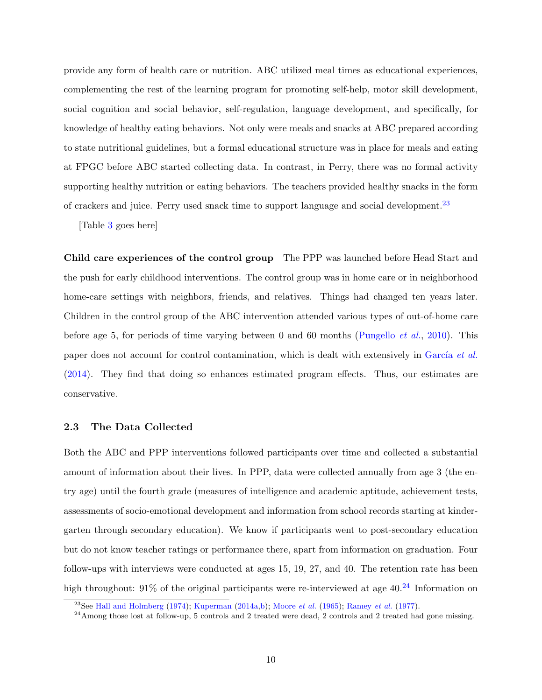provide any form of health care or nutrition. ABC utilized meal times as educational experiences, complementing the rest of the learning program for promoting self-help, motor skill development, social cognition and social behavior, self-regulation, language development, and specifically, for knowledge of healthy eating behaviors. Not only were meals and snacks at ABC prepared according to state nutritional guidelines, but a formal educational structure was in place for meals and eating at FPGC before ABC started collecting data. In contrast, in Perry, there was no formal activity supporting healthy nutrition or eating behaviors. The teachers provided healthy snacks in the form of crackers and juice. Perry used snack time to support language and social development.[23](#page--1-0)

[Table [3](#page-36-0) goes here]

Child care experiences of the control group The PPP was launched before Head Start and the push for early childhood interventions. The control group was in home care or in neighborhood home-care settings with neighbors, friends, and relatives. Things had changed ten years later. Children in the control group of the ABC intervention attended various types of out-of-home care before age 5, for periods of time varying between 0 and 60 months [\(Pungello](#page-51-1) *et al.*, [2010\)](#page-51-1). This paper does not account for control contamination, which is dealt with extensively in García et al. [\(2014\)](#page-46-5). They find that doing so enhances estimated program effects. Thus, our estimates are conservative.

#### <span id="page-12-0"></span>2.3 The Data Collected

Both the ABC and PPP interventions followed participants over time and collected a substantial amount of information about their lives. In PPP, data were collected annually from age 3 (the entry age) until the fourth grade (measures of intelligence and academic aptitude, achievement tests, assessments of socio-emotional development and information from school records starting at kindergarten through secondary education). We know if participants went to post-secondary education but do not know teacher ratings or performance there, apart from information on graduation. Four follow-ups with interviews were conducted at ages 15, 19, 27, and 40. The retention rate has been high throughout:  $91\%$  of the original participants were re-interviewed at age  $40.^{24}$  $40.^{24}$  $40.^{24}$  Information on

<sup>&</sup>lt;sup>23</sup>See [Hall and Holmberg](#page-47-4) [\(1974\)](#page-47-4); [Kuperman](#page-49-5) [\(2014a,](#page-49-5)[b\)](#page-49-6); [Moore](#page-51-2) *et al.* [\(1965\)](#page-51-2); [Ramey](#page-52-3) *et al.* [\(1977\)](#page-52-3).

 $^{24}$ Among those lost at follow-up, 5 controls and 2 treated were dead, 2 controls and 2 treated had gone missing.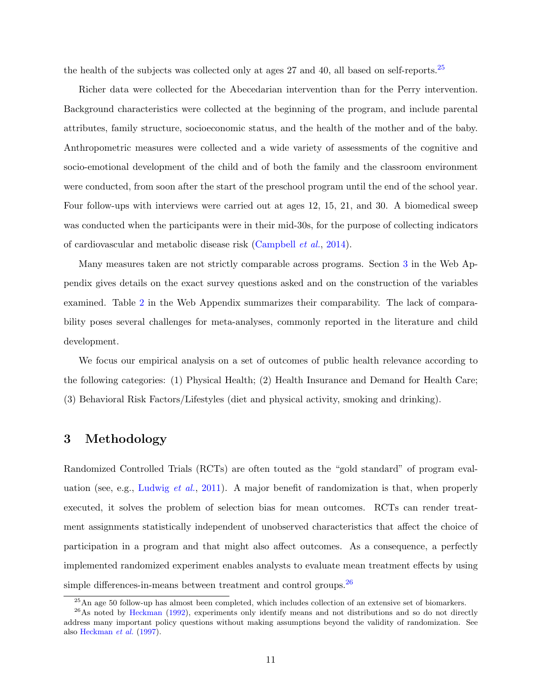the health of the subjects was collected only at ages 27 and 40, all based on self-reports.<sup>[25](#page--1-0)</sup>

Richer data were collected for the Abecedarian intervention than for the Perry intervention. Background characteristics were collected at the beginning of the program, and include parental attributes, family structure, socioeconomic status, and the health of the mother and of the baby. Anthropometric measures were collected and a wide variety of assessments of the cognitive and socio-emotional development of the child and of both the family and the classroom environment were conducted, from soon after the start of the preschool program until the end of the school year. Four follow-ups with interviews were carried out at ages 12, 15, 21, and 30. A biomedical sweep was conducted when the participants were in their mid-30s, for the purpose of collecting indicators of cardiovascular and metabolic disease risk [\(Campbell](#page-43-1) et al., [2014\)](#page-43-1).

Many measures taken are not strictly comparable across programs. Section [3](#page-13-0) in the Web Appendix gives details on the exact survey questions asked and on the construction of the variables examined. Table [2](#page--1-0) in the Web Appendix summarizes their comparability. The lack of comparability poses several challenges for meta-analyses, commonly reported in the literature and child development.

We focus our empirical analysis on a set of outcomes of public health relevance according to the following categories: (1) Physical Health; (2) Health Insurance and Demand for Health Care; (3) Behavioral Risk Factors/Lifestyles (diet and physical activity, smoking and drinking).

## <span id="page-13-0"></span>3 Methodology

Randomized Controlled Trials (RCTs) are often touted as the "gold standard" of program eval-uation (see, e.g., [Ludwig](#page-50-4) *et al.*, [2011\)](#page-50-4). A major benefit of randomization is that, when properly executed, it solves the problem of selection bias for mean outcomes. RCTs can render treatment assignments statistically independent of unobserved characteristics that affect the choice of participation in a program and that might also affect outcomes. As a consequence, a perfectly implemented randomized experiment enables analysts to evaluate mean treatment effects by using simple differences-in-means between treatment and control groups.  $26$ 

<sup>&</sup>lt;sup>25</sup>An age 50 follow-up has almost been completed, which includes collection of an extensive set of biomarkers.

<sup>&</sup>lt;sup>26</sup>As noted by [Heckman](#page-47-5) [\(1992\)](#page-47-5), experiments only identify means and not distributions and so do not directly address many important policy questions without making assumptions beyond the validity of randomization. See also [Heckman](#page-48-4) et al. [\(1997\)](#page-48-4).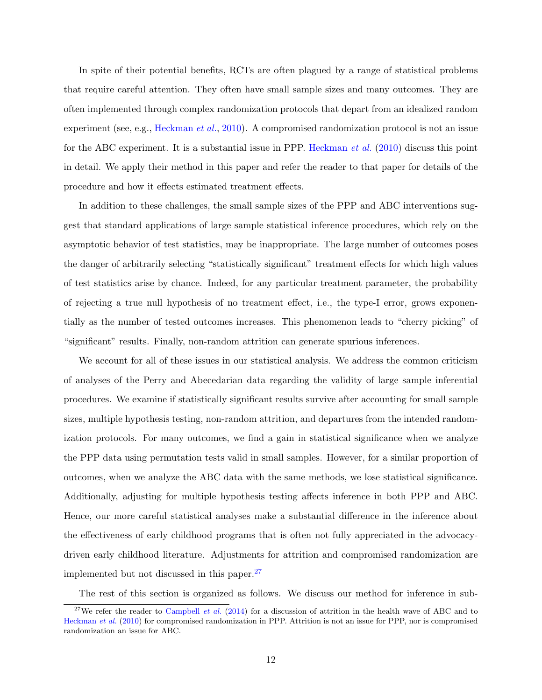In spite of their potential benefits, RCTs are often plagued by a range of statistical problems that require careful attention. They often have small sample sizes and many outcomes. They are often implemented through complex randomization protocols that depart from an idealized random experiment (see, e.g., [Heckman](#page-47-1) *et al.*, [2010\)](#page-47-1). A compromised randomization protocol is not an issue for the ABC experiment. It is a substantial issue in PPP. [Heckman](#page-47-1) et al. [\(2010\)](#page-47-1) discuss this point in detail. We apply their method in this paper and refer the reader to that paper for details of the procedure and how it effects estimated treatment effects.

In addition to these challenges, the small sample sizes of the PPP and ABC interventions suggest that standard applications of large sample statistical inference procedures, which rely on the asymptotic behavior of test statistics, may be inappropriate. The large number of outcomes poses the danger of arbitrarily selecting "statistically significant" treatment effects for which high values of test statistics arise by chance. Indeed, for any particular treatment parameter, the probability of rejecting a true null hypothesis of no treatment effect, i.e., the type-I error, grows exponentially as the number of tested outcomes increases. This phenomenon leads to "cherry picking" of "significant" results. Finally, non-random attrition can generate spurious inferences.

We account for all of these issues in our statistical analysis. We address the common criticism of analyses of the Perry and Abecedarian data regarding the validity of large sample inferential procedures. We examine if statistically significant results survive after accounting for small sample sizes, multiple hypothesis testing, non-random attrition, and departures from the intended randomization protocols. For many outcomes, we find a gain in statistical significance when we analyze the PPP data using permutation tests valid in small samples. However, for a similar proportion of outcomes, when we analyze the ABC data with the same methods, we lose statistical significance. Additionally, adjusting for multiple hypothesis testing affects inference in both PPP and ABC. Hence, our more careful statistical analyses make a substantial difference in the inference about the effectiveness of early childhood programs that is often not fully appreciated in the advocacydriven early childhood literature. Adjustments for attrition and compromised randomization are implemented but not discussed in this paper.[27](#page--1-0)

The rest of this section is organized as follows. We discuss our method for inference in sub-

<sup>&</sup>lt;sup>27</sup>We refer the reader to [Campbell](#page-43-1) *et al.* [\(2014\)](#page-43-1) for a discussion of attrition in the health wave of ABC and to [Heckman](#page-47-1) et al. [\(2010\)](#page-47-1) for compromised randomization in PPP. Attrition is not an issue for PPP, nor is compromised randomization an issue for ABC.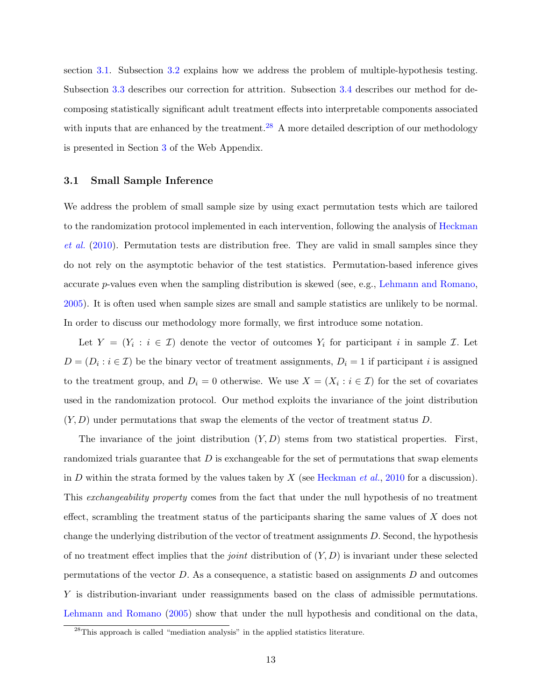section [3.1.](#page-15-0) Subsection [3.2](#page-16-0) explains how we address the problem of multiple-hypothesis testing. Subsection [3.3](#page-17-0) describes our correction for attrition. Subsection [3.4](#page-18-0) describes our method for decomposing statistically significant adult treatment effects into interpretable components associated with inputs that are enhanced by the treatment.<sup>[28](#page--1-0)</sup> A more detailed description of our methodology is presented in Section [3](#page-13-0) of the Web Appendix.

#### <span id="page-15-0"></span>3.1 Small Sample Inference

We address the problem of small sample size by using exact permutation tests which are tailored to the randomization protocol implemented in each intervention, following the analysis of [Heckman](#page-47-1) [et al.](#page-47-1) [\(2010\)](#page-47-1). Permutation tests are distribution free. They are valid in small samples since they do not rely on the asymptotic behavior of the test statistics. Permutation-based inference gives accurate p-values even when the sampling distribution is skewed (see, e.g., [Lehmann and Romano,](#page-49-7) [2005\)](#page-49-7). It is often used when sample sizes are small and sample statistics are unlikely to be normal. In order to discuss our methodology more formally, we first introduce some notation.

Let  $Y = (Y_i : i \in \mathcal{I})$  denote the vector of outcomes  $Y_i$  for participant i in sample  $\mathcal{I}$ . Let  $D = (D_i : i \in \mathcal{I})$  be the binary vector of treatment assignments,  $D_i = 1$  if participant i is assigned to the treatment group, and  $D_i = 0$  otherwise. We use  $X = (X_i : i \in \mathcal{I})$  for the set of covariates used in the randomization protocol. Our method exploits the invariance of the joint distribution  $(Y, D)$  under permutations that swap the elements of the vector of treatment status D.

The invariance of the joint distribution  $(Y, D)$  stems from two statistical properties. First, randomized trials guarantee that  $D$  is exchangeable for the set of permutations that swap elements in D within the strata formed by the values taken by X (see [Heckman](#page-47-1) *et al.*, [2010](#page-47-1) for a discussion). This exchangeability property comes from the fact that under the null hypothesis of no treatment effect, scrambling the treatment status of the participants sharing the same values of  $X$  does not change the underlying distribution of the vector of treatment assignments D. Second, the hypothesis of no treatment effect implies that the *joint* distribution of  $(Y, D)$  is invariant under these selected permutations of the vector  $D$ . As a consequence, a statistic based on assignments  $D$  and outcomes Y is distribution-invariant under reassignments based on the class of admissible permutations. [Lehmann and Romano](#page-49-7) [\(2005\)](#page-49-7) show that under the null hypothesis and conditional on the data,

<sup>28</sup>This approach is called "mediation analysis" in the applied statistics literature.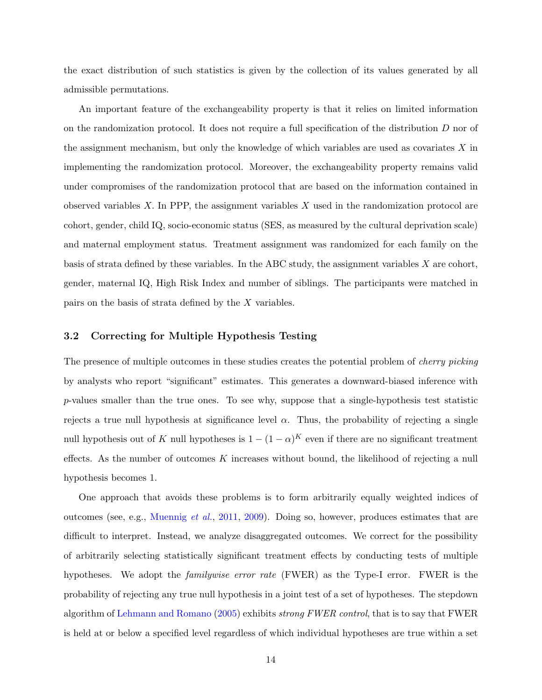the exact distribution of such statistics is given by the collection of its values generated by all admissible permutations.

An important feature of the exchangeability property is that it relies on limited information on the randomization protocol. It does not require a full specification of the distribution D nor of the assignment mechanism, but only the knowledge of which variables are used as covariates  $X$  in implementing the randomization protocol. Moreover, the exchangeability property remains valid under compromises of the randomization protocol that are based on the information contained in observed variables  $X$ . In PPP, the assignment variables  $X$  used in the randomization protocol are cohort, gender, child IQ, socio-economic status (SES, as measured by the cultural deprivation scale) and maternal employment status. Treatment assignment was randomized for each family on the basis of strata defined by these variables. In the ABC study, the assignment variables  $X$  are cohort, gender, maternal IQ, High Risk Index and number of siblings. The participants were matched in pairs on the basis of strata defined by the X variables.

#### <span id="page-16-0"></span>3.2 Correcting for Multiple Hypothesis Testing

The presence of multiple outcomes in these studies creates the potential problem of *cherry picking* by analysts who report "significant" estimates. This generates a downward-biased inference with p-values smaller than the true ones. To see why, suppose that a single-hypothesis test statistic rejects a true null hypothesis at significance level  $\alpha$ . Thus, the probability of rejecting a single null hypothesis out of K null hypotheses is  $1 - (1 - \alpha)^K$  even if there are no significant treatment effects. As the number of outcomes K increases without bound, the likelihood of rejecting a null hypothesis becomes 1.

One approach that avoids these problems is to form arbitrarily equally weighted indices of outcomes (see, e.g., [Muennig](#page-51-3) et al., [2011,](#page-51-3) [2009\)](#page-51-4). Doing so, however, produces estimates that are difficult to interpret. Instead, we analyze disaggregated outcomes. We correct for the possibility of arbitrarily selecting statistically significant treatment effects by conducting tests of multiple hypotheses. We adopt the familywise error rate (FWER) as the Type-I error. FWER is the probability of rejecting any true null hypothesis in a joint test of a set of hypotheses. The stepdown algorithm of [Lehmann and Romano](#page-49-7) [\(2005\)](#page-49-7) exhibits strong FWER control, that is to say that FWER is held at or below a specified level regardless of which individual hypotheses are true within a set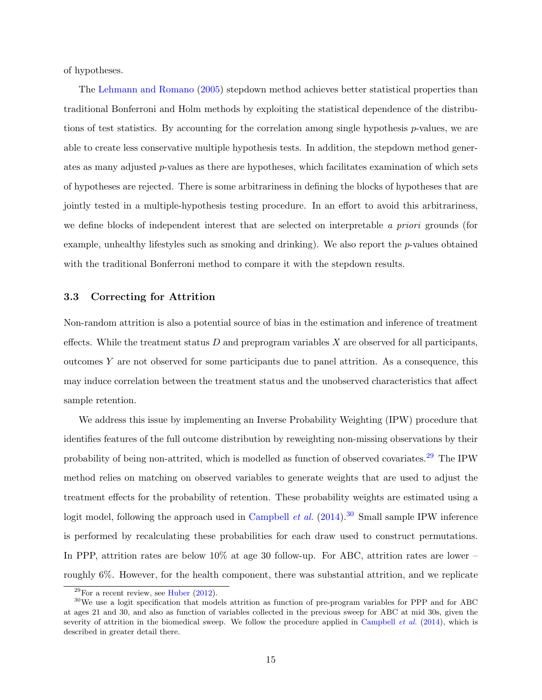of hypotheses.

The [Lehmann and Romano](#page-49-7) [\(2005\)](#page-49-7) stepdown method achieves better statistical properties than traditional Bonferroni and Holm methods by exploiting the statistical dependence of the distributions of test statistics. By accounting for the correlation among single hypothesis p-values, we are able to create less conservative multiple hypothesis tests. In addition, the stepdown method generates as many adjusted p-values as there are hypotheses, which facilitates examination of which sets of hypotheses are rejected. There is some arbitrariness in defining the blocks of hypotheses that are jointly tested in a multiple-hypothesis testing procedure. In an effort to avoid this arbitrariness, we define blocks of independent interest that are selected on interpretable a priori grounds (for example, unhealthy lifestyles such as smoking and drinking). We also report the  $p$ -values obtained with the traditional Bonferroni method to compare it with the stepdown results.

## <span id="page-17-0"></span>3.3 Correcting for Attrition

Non-random attrition is also a potential source of bias in the estimation and inference of treatment effects. While the treatment status  $D$  and preprogram variables  $X$  are observed for all participants, outcomes Y are not observed for some participants due to panel attrition. As a consequence, this may induce correlation between the treatment status and the unobserved characteristics that affect sample retention.

We address this issue by implementing an Inverse Probability Weighting (IPW) procedure that identifies features of the full outcome distribution by reweighting non-missing observations by their probability of being non-attrited, which is modelled as function of observed covariates.<sup>[29](#page--1-0)</sup> The IPW method relies on matching on observed variables to generate weights that are used to adjust the treatment effects for the probability of retention. These probability weights are estimated using a logit model, following the approach used in [Campbell](#page-43-1) *et al.*  $(2014)^{30}$  $(2014)^{30}$  $(2014)^{30}$  $(2014)^{30}$  Small sample IPW inference is performed by recalculating these probabilities for each draw used to construct permutations. In PPP, attrition rates are below 10% at age 30 follow-up. For ABC, attrition rates are lower – roughly 6%. However, for the health component, there was substantial attrition, and we replicate

 $29$ For a recent review, see [Huber](#page-48-5) [\(2012\)](#page-48-5).

<sup>30</sup>We use a logit specification that models attrition as function of pre-program variables for PPP and for ABC at ages 21 and 30, and also as function of variables collected in the previous sweep for ABC at mid 30s, given the severity of attrition in the biomedical sweep. We follow the procedure applied in [Campbell](#page-43-1) *et al.* [\(2014\)](#page-43-1), which is described in greater detail there.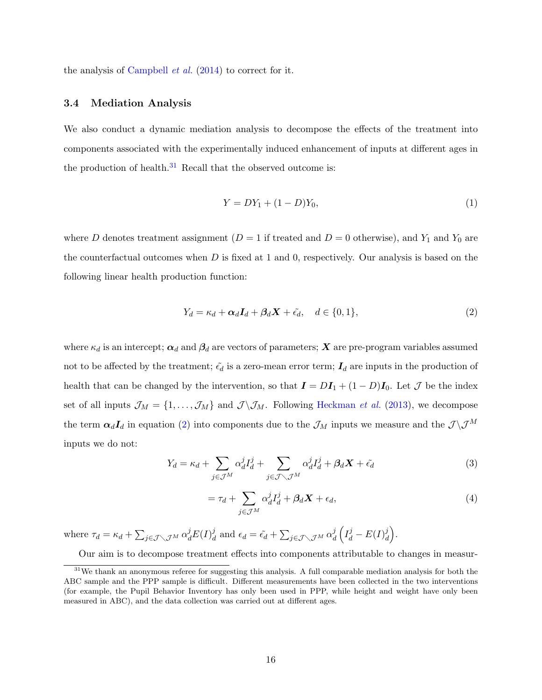the analysis of [Campbell](#page-43-1) *et al.*  $(2014)$  to correct for it.

#### <span id="page-18-0"></span>3.4 Mediation Analysis

We also conduct a dynamic mediation analysis to decompose the effects of the treatment into components associated with the experimentally induced enhancement of inputs at different ages in the production of health. $31$  Recall that the observed outcome is:

<span id="page-18-3"></span>
$$
Y = DY_1 + (1 - D)Y_0,
$$
\n(1)

where D denotes treatment assignment  $(D = 1$  if treated and  $D = 0$  otherwise), and  $Y_1$  and  $Y_0$  are the counterfactual outcomes when  $D$  is fixed at 1 and 0, respectively. Our analysis is based on the following linear health production function:

<span id="page-18-1"></span>
$$
Y_d = \kappa_d + \alpha_d I_d + \beta_d X + \tilde{\epsilon}_d, \quad d \in \{0, 1\},\tag{2}
$$

where  $\kappa_d$  is an intercept;  $\alpha_d$  and  $\beta_d$  are vectors of parameters; X are pre-program variables assumed not to be affected by the treatment;  $\tilde{\epsilon_d}$  is a zero-mean error term;  $I_d$  are inputs in the production of health that can be changed by the intervention, so that  $\mathbf{I} = D\mathbf{I}_1 + (1 - D)\mathbf{I}_0$ . Let  $\mathcal J$  be the index set of all inputs  $\mathcal{J}_M = \{1, \ldots, \mathcal{J}_M\}$  and  $\mathcal{J} \setminus \mathcal{J}_M$ . Following [Heckman](#page-48-6) *et al.* [\(2013\)](#page-48-6), we decompose the term  $\alpha_d I_d$  in equation [\(2\)](#page-18-1) into components due to the  $\mathcal{J}_M$  inputs we measure and the  $\mathcal{J}\setminus\mathcal{J}^M$ inputs we do not:

$$
Y_d = \kappa_d + \sum_{j \in \mathcal{J}^M} \alpha_d^j I_d^j + \sum_{j \in \mathcal{J} \setminus \mathcal{J}^M} \alpha_d^j I_d^j + \beta_d X + \tilde{\epsilon}_d \tag{3}
$$

<span id="page-18-2"></span>
$$
= \tau_d + \sum_{j \in \mathcal{J}^M} \alpha_d^j I_d^j + \beta_d X + \epsilon_d, \tag{4}
$$

where  $\tau_d = \kappa_d + \sum_{j \in \mathcal{J} \setminus \mathcal{J}^M} \alpha_d^j E(I)_a^j$  $\frac{d}{d}$  and  $\epsilon_d = \tilde{\epsilon_d} + \sum_{j \in \mathcal{J} \setminus \mathcal{J}^M} \alpha_d^j$  $\frac{j}{d}\left(I_d^j-E(I)_a^j\right)$  $\begin{pmatrix} j \\ d \end{pmatrix}$ .

Our aim is to decompose treatment effects into components attributable to changes in measur-

 $31$ We thank an anonymous referee for suggesting this analysis. A full comparable mediation analysis for both the ABC sample and the PPP sample is difficult. Different measurements have been collected in the two interventions (for example, the Pupil Behavior Inventory has only been used in PPP, while height and weight have only been measured in ABC), and the data collection was carried out at different ages.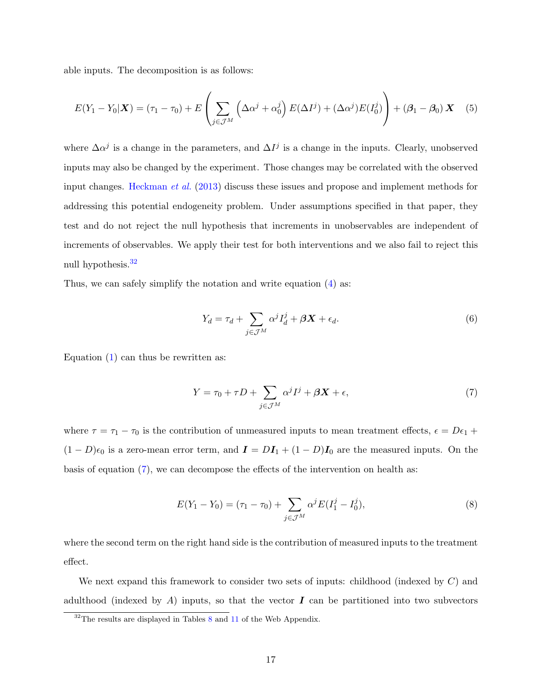able inputs. The decomposition is as follows:

$$
E(Y_1 - Y_0 | \mathbf{X}) = (\tau_1 - \tau_0) + E\left(\sum_{j \in \mathcal{J}^M} \left(\Delta \alpha^j + \alpha_0^j\right) E(\Delta I^j) + (\Delta \alpha^j) E(I_0^j)\right) + (\beta_1 - \beta_0) \mathbf{X} \quad (5)
$$

where  $\Delta \alpha^j$  is a change in the parameters, and  $\Delta I^j$  is a change in the inputs. Clearly, unobserved inputs may also be changed by the experiment. Those changes may be correlated with the observed input changes. [Heckman](#page-48-6) et al. [\(2013\)](#page-48-6) discuss these issues and propose and implement methods for addressing this potential endogeneity problem. Under assumptions specified in that paper, they test and do not reject the null hypothesis that increments in unobservables are independent of increments of observables. We apply their test for both interventions and we also fail to reject this null hypothesis.<sup>[32](#page--1-0)</sup>

Thus, we can safely simplify the notation and write equation [\(4\)](#page-18-2) as:

$$
Y_d = \tau_d + \sum_{j \in \mathcal{J}^M} \alpha^j I_d^j + \beta \mathbf{X} + \epsilon_d.
$$
 (6)

Equation  $(1)$  can thus be rewritten as:

<span id="page-19-0"></span>
$$
Y = \tau_0 + \tau D + \sum_{j \in \mathcal{J}^M} \alpha^j I^j + \beta X + \epsilon,
$$
\n<sup>(7)</sup>

where  $\tau = \tau_1 - \tau_0$  is the contribution of unmeasured inputs to mean treatment effects,  $\epsilon = D\epsilon_1 + D\epsilon_2$  $(1 - D)\epsilon_0$  is a zero-mean error term, and  $\mathbf{I} = D\mathbf{I}_1 + (1 - D)\mathbf{I}_0$  are the measured inputs. On the basis of equation  $(7)$ , we can decompose the effects of the intervention on health as:

$$
E(Y_1 - Y_0) = (\tau_1 - \tau_0) + \sum_{j \in \mathcal{J}^M} \alpha^j E(I_1^j - I_0^j),
$$
\n(8)

where the second term on the right hand side is the contribution of measured inputs to the treatment effect.

We next expand this framework to consider two sets of inputs: childhood (indexed by  $C$ ) and adulthood (indexed by A) inputs, so that the vector  $\bm{I}$  can be partitioned into two subvectors

<sup>&</sup>lt;sup>32</sup>The results are displayed in Tables [8](#page-36-0) and [11](#page--1-0) of the Web Appendix.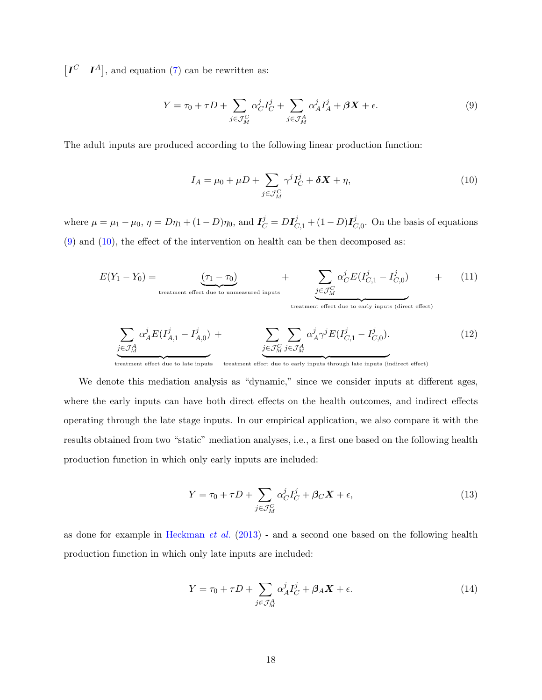$[I^C \quad I^A]$ , and equation [\(7\)](#page-19-0) can be rewritten as:

<span id="page-20-0"></span>
$$
Y = \tau_0 + \tau D + \sum_{j \in \mathcal{J}_M^C} \alpha_C^j I_C^j + \sum_{j \in \mathcal{J}_M^A} \alpha_A^j I_A^j + \beta X + \epsilon.
$$
 (9)

The adult inputs are produced according to the following linear production function:

<span id="page-20-1"></span>
$$
I_A = \mu_0 + \mu D + \sum_{j \in \mathcal{J}_M^C} \gamma^j I_C^j + \delta \mathbf{X} + \eta,
$$
\n(10)

where  $\mu = \mu_1 - \mu_0$ ,  $\eta = D\eta_1 + (1 - D)\eta_0$ , and  $I_C^j = D I_{C,1}^j + (1 - D)I_C^j$  $C_{0}^{j}$ . On the basis of equations [\(9\)](#page-20-0) and [\(10\)](#page-20-1), the effect of the intervention on health can be then decomposed as:

$$
E(Y_1 - Y_0) = \underbrace{(\tau_1 - \tau_0)}_{\text{treatment effect due to unmeasured inputs}} + \underbrace{\sum}_{j \in \mathcal{J}_M^C} \alpha_C^j E(I_{C,1}^j - I_{C,0}^j) + \qquad (11)
$$

treatment effect due to early inputs (direct effect)

<span id="page-20-2"></span>
$$
\underbrace{\sum_{j \in \mathcal{J}_M^A} \alpha_A^j E(I_{A,1}^j - I_{A,0}^j) + \sum_{j \in \mathcal{J}_M^C} \sum_{j \in \mathcal{J}_M^A} \alpha_A^j \gamma^j E(I_{C,1}^j - I_{C,0}^j).}_{\text{(12)}}
$$

treatment effect due to late inputs treatment effect due to early inputs through late inputs (indirect effect)

We denote this mediation analysis as "dynamic," since we consider inputs at different ages, where the early inputs can have both direct effects on the health outcomes, and indirect effects operating through the late stage inputs. In our empirical application, we also compare it with the results obtained from two "static" mediation analyses, i.e., a first one based on the following health production function in which only early inputs are included:

$$
Y = \tau_0 + \tau D + \sum_{j \in \mathcal{J}_M^C} \alpha_C^j I_C^j + \beta_C \mathbf{X} + \epsilon,
$$
\n(13)

as done for example in [Heckman](#page-48-6) et al. [\(2013\)](#page-48-6) - and a second one based on the following health production function in which only late inputs are included:

$$
Y = \tau_0 + \tau D + \sum_{j \in \mathcal{J}_M^A} \alpha_A^j I_C^j + \beta_A \mathbf{X} + \epsilon.
$$
 (14)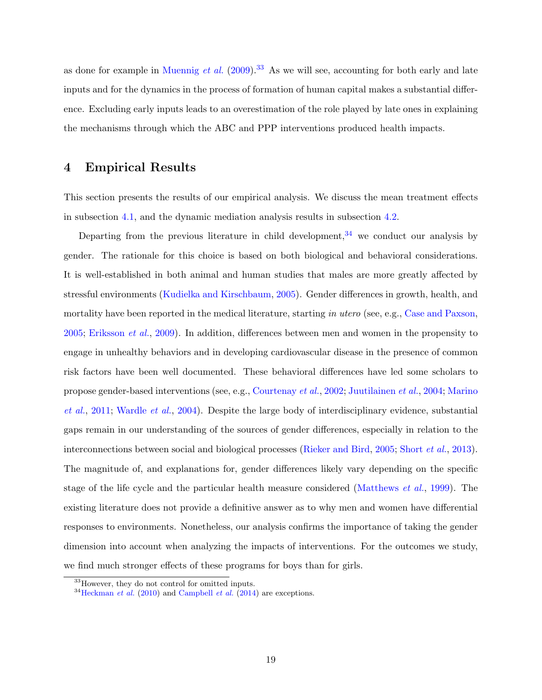as done for example in [Muennig](#page-51-4) et al.  $(2009)$ .<sup>[33](#page--1-0)</sup> As we will see, accounting for both early and late inputs and for the dynamics in the process of formation of human capital makes a substantial difference. Excluding early inputs leads to an overestimation of the role played by late ones in explaining the mechanisms through which the ABC and PPP interventions produced health impacts.

## <span id="page-21-0"></span>4 Empirical Results

This section presents the results of our empirical analysis. We discuss the mean treatment effects in subsection [4.1,](#page-22-0) and the dynamic mediation analysis results in subsection [4.2.](#page-26-0)

Departing from the previous literature in child development,  $34$  we conduct our analysis by gender. The rationale for this choice is based on both biological and behavioral considerations. It is well-established in both animal and human studies that males are more greatly affected by stressful environments [\(Kudielka and Kirschbaum,](#page-49-8) [2005\)](#page-49-8). Gender differences in growth, health, and mortality have been reported in the medical literature, starting in utero (see, e.g., [Case and Paxson,](#page-44-4) [2005;](#page-44-4) [Eriksson](#page-46-6) et al., [2009\)](#page-46-6). In addition, differences between men and women in the propensity to engage in unhealthy behaviors and in developing cardiovascular disease in the presence of common risk factors have been well documented. These behavioral differences have led some scholars to propose gender-based interventions (see, e.g., [Courtenay](#page-44-5) et al., [2002;](#page-44-5) [Juutilainen](#page-48-7) et al., [2004;](#page-48-7) [Marino](#page-50-5) [et al.](#page-50-5), [2011;](#page-50-5) [Wardle](#page-54-5) et al., [2004\)](#page-54-5). Despite the large body of interdisciplinary evidence, substantial gaps remain in our understanding of the sources of gender differences, especially in relation to the interconnections between social and biological processes [\(Rieker and Bird,](#page-52-5) [2005;](#page-52-5) [Short](#page-53-3) et al., [2013\)](#page-53-3). The magnitude of, and explanations for, gender differences likely vary depending on the specific stage of the life cycle and the particular health measure considered [\(Matthews](#page-50-6) et al., [1999\)](#page-50-6). The existing literature does not provide a definitive answer as to why men and women have differential responses to environments. Nonetheless, our analysis confirms the importance of taking the gender dimension into account when analyzing the impacts of interventions. For the outcomes we study, we find much stronger effects of these programs for boys than for girls.

<sup>&</sup>lt;sup>33</sup>However, they do not control for omitted inputs.

 $34$ [Heckman](#page-47-1) *et al.* [\(2010\)](#page-47-1) and [Campbell](#page-43-1) *et al.* [\(2014\)](#page-43-1) are exceptions.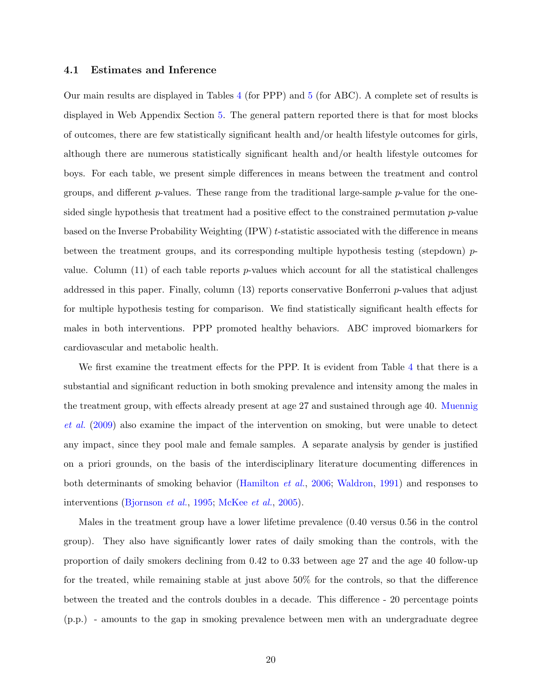#### <span id="page-22-0"></span>4.1 Estimates and Inference

Our main results are displayed in Tables [4](#page-37-0) (for PPP) and [5](#page-38-0) (for ABC). A complete set of results is displayed in Web Appendix Section [5.](#page-30-0) The general pattern reported there is that for most blocks of outcomes, there are few statistically significant health and/or health lifestyle outcomes for girls, although there are numerous statistically significant health and/or health lifestyle outcomes for boys. For each table, we present simple differences in means between the treatment and control groups, and different  $p$ -values. These range from the traditional large-sample  $p$ -value for the onesided single hypothesis that treatment had a positive effect to the constrained permutation p-value based on the Inverse Probability Weighting (IPW) t-statistic associated with the difference in means between the treatment groups, and its corresponding multiple hypothesis testing (stepdown)  $p$ value. Column  $(11)$  of each table reports p-values which account for all the statistical challenges addressed in this paper. Finally, column  $(13)$  reports conservative Bonferroni p-values that adjust for multiple hypothesis testing for comparison. We find statistically significant health effects for males in both interventions. PPP promoted healthy behaviors. ABC improved biomarkers for cardiovascular and metabolic health.

We first examine the treatment effects for the PPP. It is evident from Table [4](#page-37-0) that there is a substantial and significant reduction in both smoking prevalence and intensity among the males in the treatment group, with effects already present at age 27 and sustained through age 40. [Muennig](#page-51-4) [et al.](#page-51-4) [\(2009\)](#page-51-4) also examine the impact of the intervention on smoking, but were unable to detect any impact, since they pool male and female samples. A separate analysis by gender is justified on a priori grounds, on the basis of the interdisciplinary literature documenting differences in both determinants of smoking behavior [\(Hamilton](#page-47-6) et al., [2006;](#page-47-6) [Waldron,](#page-53-4) [1991\)](#page-53-4) and responses to interventions [\(Bjornson](#page-43-5) et al., [1995;](#page-43-5) [McKee](#page-50-7) et al., [2005\)](#page-50-7).

Males in the treatment group have a lower lifetime prevalence (0.40 versus 0.56 in the control group). They also have significantly lower rates of daily smoking than the controls, with the proportion of daily smokers declining from 0.42 to 0.33 between age 27 and the age 40 follow-up for the treated, while remaining stable at just above 50% for the controls, so that the difference between the treated and the controls doubles in a decade. This difference - 20 percentage points (p.p.) - amounts to the gap in smoking prevalence between men with an undergraduate degree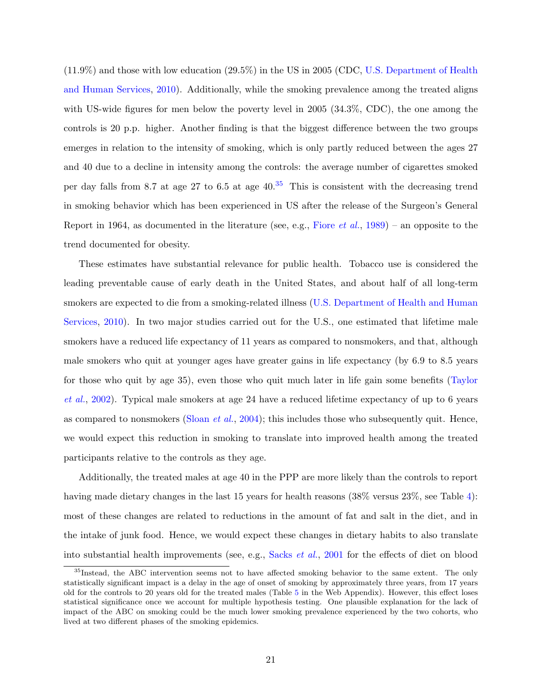(11.9%) and those with low education (29.5%) in the US in 2005 (CDC, [U.S. Department of Health](#page-53-5) [and Human Services,](#page-53-5) [2010\)](#page-53-5). Additionally, while the smoking prevalence among the treated aligns with US-wide figures for men below the poverty level in 2005 (34.3%, CDC), the one among the controls is 20 p.p. higher. Another finding is that the biggest difference between the two groups emerges in relation to the intensity of smoking, which is only partly reduced between the ages 27 and 40 due to a decline in intensity among the controls: the average number of cigarettes smoked per day falls from 8.7 at age 27 to 6.5 at age  $40^{35}$  $40^{35}$  $40^{35}$  This is consistent with the decreasing trend in smoking behavior which has been experienced in US after the release of the Surgeon's General Report in 1964, as documented in the literature (see, e.g., [Fiore](#page-46-7) *et al.*, [1989\)](#page-46-7) – an opposite to the trend documented for obesity.

These estimates have substantial relevance for public health. Tobacco use is considered the leading preventable cause of early death in the United States, and about half of all long-term smokers are expected to die from a smoking-related illness [\(U.S. Department of Health and Human](#page-53-5) [Services,](#page-53-5) [2010\)](#page-53-5). In two major studies carried out for the U.S., one estimated that lifetime male smokers have a reduced life expectancy of 11 years as compared to nonsmokers, and that, although male smokers who quit at younger ages have greater gains in life expectancy (by 6.9 to 8.5 years for those who quit by age 35), even those who quit much later in life gain some benefits [\(Taylor](#page-53-6) [et al.](#page-53-6), [2002\)](#page-53-6). Typical male smokers at age 24 have a reduced lifetime expectancy of up to 6 years as compared to nonsmokers [\(Sloan](#page-53-7) *et al.*, [2004\)](#page-53-7); this includes those who subsequently quit. Hence, we would expect this reduction in smoking to translate into improved health among the treated participants relative to the controls as they age.

Additionally, the treated males at age 40 in the PPP are more likely than the controls to report having made dietary changes in the last 15 years for health reasons (38% versus 23%, see Table [4\)](#page-37-0): most of these changes are related to reductions in the amount of fat and salt in the diet, and in the intake of junk food. Hence, we would expect these changes in dietary habits to also translate into substantial health improvements (see, e.g., [Sacks](#page-52-6) et al., [2001](#page-52-6) for the effects of diet on blood

<sup>35</sup>Instead, the ABC intervention seems not to have affected smoking behavior to the same extent. The only statistically significant impact is a delay in the age of onset of smoking by approximately three years, from 17 years old for the controls to 20 years old for the treated males (Table [5](#page-33-0) in the Web Appendix). However, this effect loses statistical significance once we account for multiple hypothesis testing. One plausible explanation for the lack of impact of the ABC on smoking could be the much lower smoking prevalence experienced by the two cohorts, who lived at two different phases of the smoking epidemics.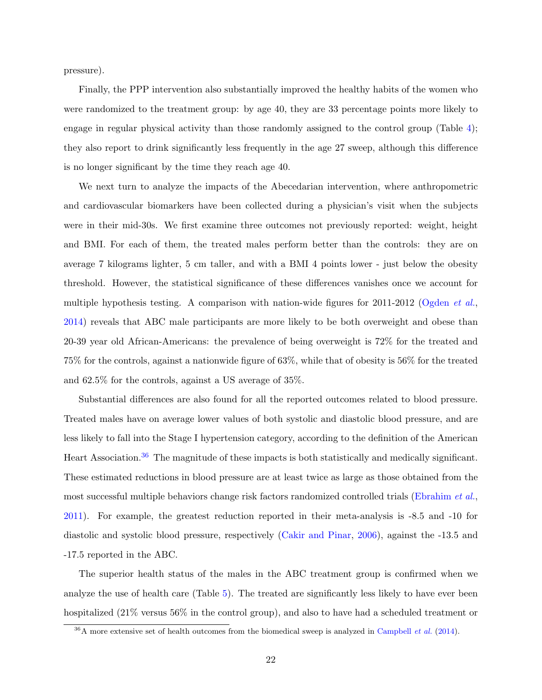pressure).

Finally, the PPP intervention also substantially improved the healthy habits of the women who were randomized to the treatment group: by age 40, they are 33 percentage points more likely to engage in regular physical activity than those randomly assigned to the control group (Table [4\)](#page-37-0); they also report to drink significantly less frequently in the age 27 sweep, although this difference is no longer significant by the time they reach age 40.

We next turn to analyze the impacts of the Abecedarian intervention, where anthropometric and cardiovascular biomarkers have been collected during a physician's visit when the subjects were in their mid-30s. We first examine three outcomes not previously reported: weight, height and BMI. For each of them, the treated males perform better than the controls: they are on average 7 kilograms lighter, 5 cm taller, and with a BMI 4 points lower - just below the obesity threshold. However, the statistical significance of these differences vanishes once we account for multiple hypothesis testing. A comparison with nation-wide figures for 2011-2012 [\(Ogden](#page-51-5) et al., [2014\)](#page-51-5) reveals that ABC male participants are more likely to be both overweight and obese than 20-39 year old African-Americans: the prevalence of being overweight is 72% for the treated and 75% for the controls, against a nationwide figure of 63%, while that of obesity is 56% for the treated and 62.5% for the controls, against a US average of 35%.

Substantial differences are also found for all the reported outcomes related to blood pressure. Treated males have on average lower values of both systolic and diastolic blood pressure, and are less likely to fall into the Stage I hypertension category, according to the definition of the American Heart Association.[36](#page--1-0) The magnitude of these impacts is both statistically and medically significant. These estimated reductions in blood pressure are at least twice as large as those obtained from the most successful multiple behaviors change risk factors randomized controlled trials [\(Ebrahim](#page-45-4) et al., [2011\)](#page-45-4). For example, the greatest reduction reported in their meta-analysis is -8.5 and -10 for diastolic and systolic blood pressure, respectively [\(Cakir and Pinar,](#page-43-6) [2006\)](#page-43-6), against the -13.5 and -17.5 reported in the ABC.

The superior health status of the males in the ABC treatment group is confirmed when we analyze the use of health care (Table [5\)](#page-38-0). The treated are significantly less likely to have ever been hospitalized (21% versus 56% in the control group), and also to have had a scheduled treatment or

 $36A$  more extensive set of health outcomes from the biomedical sweep is analyzed in [Campbell](#page-43-1) *et al.* [\(2014\)](#page-43-1).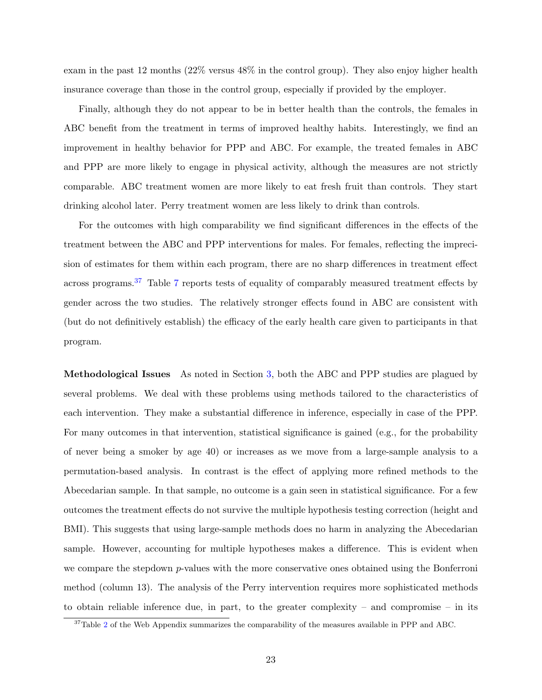exam in the past 12 months (22% versus 48% in the control group). They also enjoy higher health insurance coverage than those in the control group, especially if provided by the employer.

Finally, although they do not appear to be in better health than the controls, the females in ABC benefit from the treatment in terms of improved healthy habits. Interestingly, we find an improvement in healthy behavior for PPP and ABC. For example, the treated females in ABC and PPP are more likely to engage in physical activity, although the measures are not strictly comparable. ABC treatment women are more likely to eat fresh fruit than controls. They start drinking alcohol later. Perry treatment women are less likely to drink than controls.

For the outcomes with high comparability we find significant differences in the effects of the treatment between the ABC and PPP interventions for males. For females, reflecting the imprecision of estimates for them within each program, there are no sharp differences in treatment effect across programs.<sup>[37](#page--1-0)</sup> Table [7](#page--1-0) reports tests of equality of comparably measured treatment effects by gender across the two studies. The relatively stronger effects found in ABC are consistent with (but do not definitively establish) the efficacy of the early health care given to participants in that program.

Methodological Issues As noted in Section [3,](#page-13-0) both the ABC and PPP studies are plagued by several problems. We deal with these problems using methods tailored to the characteristics of each intervention. They make a substantial difference in inference, especially in case of the PPP. For many outcomes in that intervention, statistical significance is gained (e.g., for the probability of never being a smoker by age 40) or increases as we move from a large-sample analysis to a permutation-based analysis. In contrast is the effect of applying more refined methods to the Abecedarian sample. In that sample, no outcome is a gain seen in statistical significance. For a few outcomes the treatment effects do not survive the multiple hypothesis testing correction (height and BMI). This suggests that using large-sample methods does no harm in analyzing the Abecedarian sample. However, accounting for multiple hypotheses makes a difference. This is evident when we compare the stepdown p-values with the more conservative ones obtained using the Bonferroni method (column 13). The analysis of the Perry intervention requires more sophisticated methods to obtain reliable inference due, in part, to the greater complexity – and compromise – in its

<sup>&</sup>lt;sup>37</sup>Table [2](#page--1-0) of the Web Appendix summarizes the comparability of the measures available in PPP and ABC.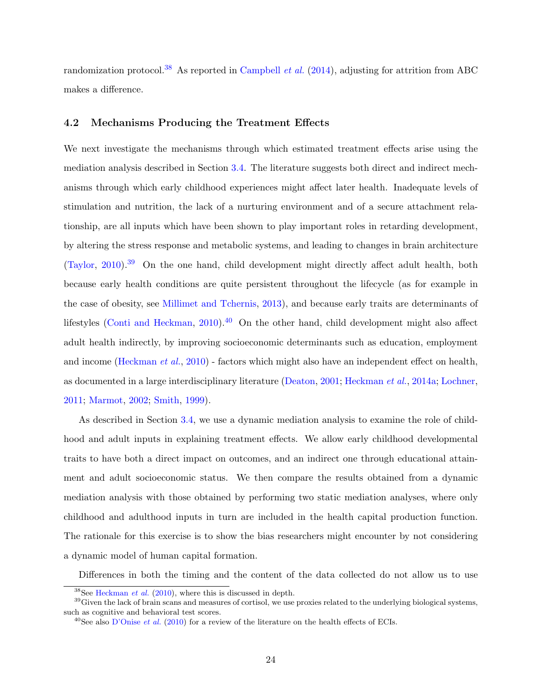randomization protocol.<sup>[38](#page--1-0)</sup> As reported in [Campbell](#page-43-1) *et al.* [\(2014\)](#page-43-1), adjusting for attrition from ABC makes a difference.

## <span id="page-26-0"></span>4.2 Mechanisms Producing the Treatment Effects

We next investigate the mechanisms through which estimated treatment effects arise using the mediation analysis described in Section [3.4.](#page-18-0) The literature suggests both direct and indirect mechanisms through which early childhood experiences might affect later health. Inadequate levels of stimulation and nutrition, the lack of a nurturing environment and of a secure attachment relationship, are all inputs which have been shown to play important roles in retarding development, by altering the stress response and metabolic systems, and leading to changes in brain architecture [\(Taylor,](#page-53-8) [2010\)](#page-53-8).<sup>[39](#page--1-0)</sup> On the one hand, child development might directly affect adult health, both because early health conditions are quite persistent throughout the lifecycle (as for example in the case of obesity, see [Millimet and Tchernis,](#page-50-8) [2013\)](#page-50-8), and because early traits are determinants of lifestyles [\(Conti and Heckman,](#page-44-6)  $2010$ ).<sup>[40](#page--1-0)</sup> On the other hand, child development might also affect adult health indirectly, by improving socioeconomic determinants such as education, employment and income [\(Heckman](#page-47-1) *et al.*, [2010\)](#page-47-1) - factors which might also have an independent effect on health, as documented in a large interdisciplinary literature [\(Deaton,](#page-45-5) [2001;](#page-45-5) [Heckman](#page-47-7) et al., [2014a;](#page-47-7) [Lochner,](#page-49-9) [2011;](#page-49-9) [Marmot,](#page-50-9) [2002;](#page-50-9) [Smith,](#page-53-9) [1999\)](#page-53-9).

As described in Section [3.4,](#page-18-0) we use a dynamic mediation analysis to examine the role of childhood and adult inputs in explaining treatment effects. We allow early childhood developmental traits to have both a direct impact on outcomes, and an indirect one through educational attainment and adult socioeconomic status. We then compare the results obtained from a dynamic mediation analysis with those obtained by performing two static mediation analyses, where only childhood and adulthood inputs in turn are included in the health capital production function. The rationale for this exercise is to show the bias researchers might encounter by not considering a dynamic model of human capital formation.

Differences in both the timing and the content of the data collected do not allow us to use

 $38$ See [Heckman](#page-47-1) *et al.* [\(2010\)](#page-47-1), where this is discussed in depth.

<sup>&</sup>lt;sup>39</sup>Given the lack of brain scans and measures of cortisol, we use proxies related to the underlying biological systems, such as cognitive and behavioral test scores.

<sup>&</sup>lt;sup>40</sup>See also [D'Onise](#page-45-6) *et al.* [\(2010\)](#page-45-6) for a review of the literature on the health effects of ECIs.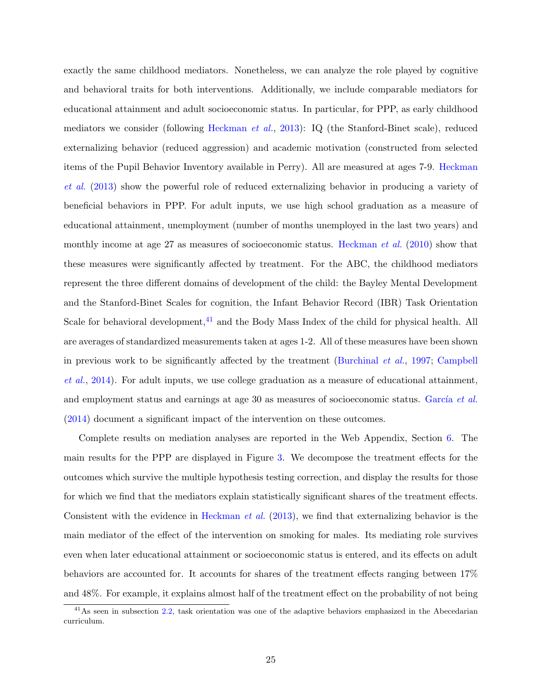exactly the same childhood mediators. Nonetheless, we can analyze the role played by cognitive and behavioral traits for both interventions. Additionally, we include comparable mediators for educational attainment and adult socioeconomic status. In particular, for PPP, as early childhood mediators we consider (following [Heckman](#page-48-6) et al., [2013\)](#page-48-6): IQ (the Stanford-Binet scale), reduced externalizing behavior (reduced aggression) and academic motivation (constructed from selected items of the Pupil Behavior Inventory available in Perry). All are measured at ages 7-9. [Heckman](#page-48-6) [et al.](#page-48-6) [\(2013\)](#page-48-6) show the powerful role of reduced externalizing behavior in producing a variety of beneficial behaviors in PPP. For adult inputs, we use high school graduation as a measure of educational attainment, unemployment (number of months unemployed in the last two years) and monthly income at age 27 as measures of socioeconomic status. [Heckman](#page-47-1) *et al.* [\(2010\)](#page-47-1) show that these measures were significantly affected by treatment. For the ABC, the childhood mediators represent the three different domains of development of the child: the Bayley Mental Development and the Stanford-Binet Scales for cognition, the Infant Behavior Record (IBR) Task Orientation Scale for behavioral development,<sup>[41](#page--1-0)</sup> and the Body Mass Index of the child for physical health. All are averages of standardized measurements taken at ages 1-2. All of these measures have been shown in previous work to be significantly affected by the treatment [\(Burchinal](#page-43-7) et al., [1997;](#page-43-7) [Campbell](#page-43-1) [et al.](#page-43-1), [2014\)](#page-43-1). For adult inputs, we use college graduation as a measure of educational attainment, and employment status and earnings at age 30 as measures of socioeconomic status. García et al. [\(2014\)](#page-46-5) document a significant impact of the intervention on these outcomes.

Complete results on mediation analyses are reported in the Web Appendix, Section [6.](#page--1-0) The main results for the PPP are displayed in Figure [3.](#page-39-0) We decompose the treatment effects for the outcomes which survive the multiple hypothesis testing correction, and display the results for those for which we find that the mediators explain statistically significant shares of the treatment effects. Consistent with the evidence in [Heckman](#page-48-6) et al. [\(2013\)](#page-48-6), we find that externalizing behavior is the main mediator of the effect of the intervention on smoking for males. Its mediating role survives even when later educational attainment or socioeconomic status is entered, and its effects on adult behaviors are accounted for. It accounts for shares of the treatment effects ranging between 17% and 48%. For example, it explains almost half of the treatment effect on the probability of not being

<sup>&</sup>lt;sup>41</sup>As seen in subsection [2.2,](#page-7-0) task orientation was one of the adaptive behaviors emphasized in the Abecedarian curriculum.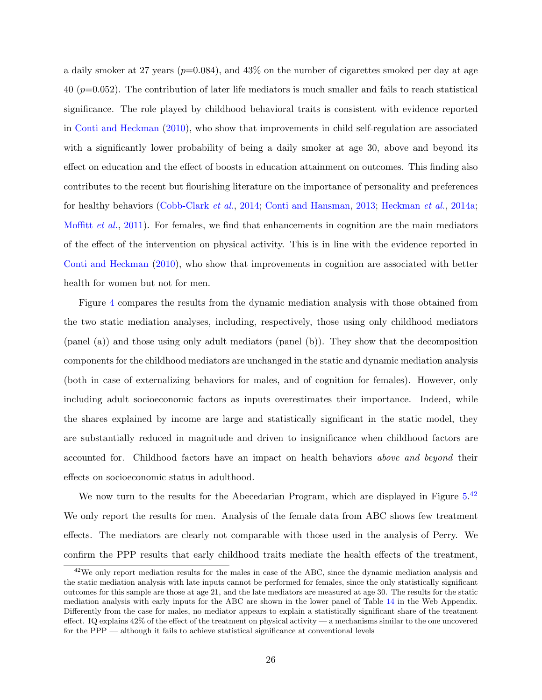a daily smoker at 27 years  $(p=0.084)$ , and  $43\%$  on the number of cigarettes smoked per day at age 40 ( $p=0.052$ ). The contribution of later life mediators is much smaller and fails to reach statistical significance. The role played by childhood behavioral traits is consistent with evidence reported in [Conti and Heckman](#page-44-6) [\(2010\)](#page-44-6), who show that improvements in child self-regulation are associated with a significantly lower probability of being a daily smoker at age 30, above and beyond its effect on education and the effect of boosts in education attainment on outcomes. This finding also contributes to the recent but flourishing literature on the importance of personality and preferences for healthy behaviors [\(Cobb-Clark](#page-44-7) et al., [2014;](#page-44-7) [Conti and Hansman,](#page-44-8) [2013;](#page-44-8) [Heckman](#page-47-7) et al., [2014a;](#page-47-7) [Moffitt](#page-50-10) et al., [2011\)](#page-50-10). For females, we find that enhancements in cognition are the main mediators of the effect of the intervention on physical activity. This is in line with the evidence reported in [Conti and Heckman](#page-44-6) [\(2010\)](#page-44-6), who show that improvements in cognition are associated with better health for women but not for men.

Figure [4](#page-40-0) compares the results from the dynamic mediation analysis with those obtained from the two static mediation analyses, including, respectively, those using only childhood mediators (panel (a)) and those using only adult mediators (panel (b)). They show that the decomposition components for the childhood mediators are unchanged in the static and dynamic mediation analysis (both in case of externalizing behaviors for males, and of cognition for females). However, only including adult socioeconomic factors as inputs overestimates their importance. Indeed, while the shares explained by income are large and statistically significant in the static model, they are substantially reduced in magnitude and driven to insignificance when childhood factors are accounted for. Childhood factors have an impact on health behaviors above and beyond their effects on socioeconomic status in adulthood.

We now turn to the results for the Abecedarian Program, which are displayed in Figure  $5.^{42}$  $5.^{42}$  $5.^{42}$  $5.^{42}$ We only report the results for men. Analysis of the female data from ABC shows few treatment effects. The mediators are clearly not comparable with those used in the analysis of Perry. We confirm the PPP results that early childhood traits mediate the health effects of the treatment,

 $42$ We only report mediation results for the males in case of the ABC, since the dynamic mediation analysis and the static mediation analysis with late inputs cannot be performed for females, since the only statistically significant outcomes for this sample are those at age 21, and the late mediators are measured at age 30. The results for the static mediation analysis with early inputs for the ABC are shown in the lower panel of Table [14](#page--1-0) in the Web Appendix. Differently from the case for males, no mediator appears to explain a statistically significant share of the treatment effect. IQ explains 42% of the effect of the treatment on physical activity — a mechanisms similar to the one uncovered for the PPP — although it fails to achieve statistical significance at conventional levels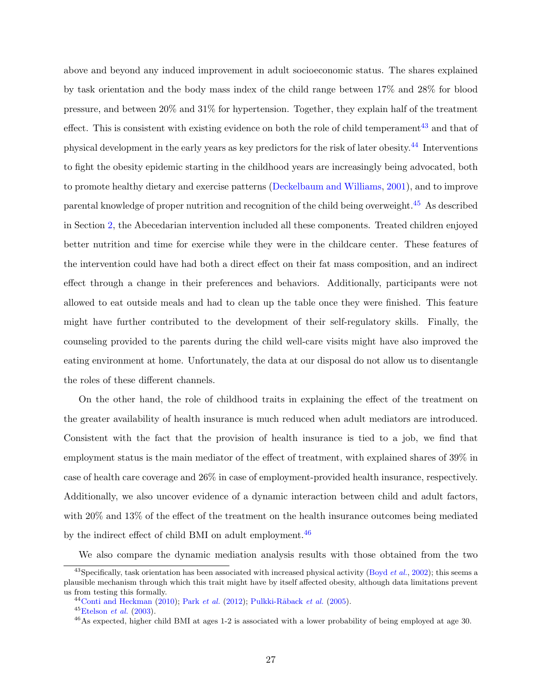above and beyond any induced improvement in adult socioeconomic status. The shares explained by task orientation and the body mass index of the child range between 17% and 28% for blood pressure, and between 20% and 31% for hypertension. Together, they explain half of the treatment effect. This is consistent with existing evidence on both the role of child temperament<sup>[43](#page--1-0)</sup> and that of physical development in the early years as key predictors for the risk of later obesity.[44](#page--1-0) Interventions to fight the obesity epidemic starting in the childhood years are increasingly being advocated, both to promote healthy dietary and exercise patterns [\(Deckelbaum and Williams,](#page-45-7) [2001\)](#page-45-7), and to improve parental knowledge of proper nutrition and recognition of the child being overweight.[45](#page--1-0) As described in Section [2,](#page-5-0) the Abecedarian intervention included all these components. Treated children enjoyed better nutrition and time for exercise while they were in the childcare center. These features of the intervention could have had both a direct effect on their fat mass composition, and an indirect effect through a change in their preferences and behaviors. Additionally, participants were not allowed to eat outside meals and had to clean up the table once they were finished. This feature might have further contributed to the development of their self-regulatory skills. Finally, the counseling provided to the parents during the child well-care visits might have also improved the eating environment at home. Unfortunately, the data at our disposal do not allow us to disentangle the roles of these different channels.

On the other hand, the role of childhood traits in explaining the effect of the treatment on the greater availability of health insurance is much reduced when adult mediators are introduced. Consistent with the fact that the provision of health insurance is tied to a job, we find that employment status is the main mediator of the effect of treatment, with explained shares of 39% in case of health care coverage and 26% in case of employment-provided health insurance, respectively. Additionally, we also uncover evidence of a dynamic interaction between child and adult factors, with 20% and 13% of the effect of the treatment on the health insurance outcomes being mediated by the indirect effect of child BMI on adult employment.<sup>[46](#page--1-0)</sup>

We also compare the dynamic mediation analysis results with those obtained from the two

 $^{43}$ Specifically, task orientation has been associated with increased physical activity [\(Boyd](#page-43-8) et al., [2002\)](#page-43-8); this seems a plausible mechanism through which this trait might have by itself affected obesity, although data limitations prevent us from testing this formally.

 $^{44}$  [Conti and Heckman](#page-44-6) [\(2010\)](#page-44-6); Park [et al.](#page-51-6) [\(2012\)](#page-51-6); Pulkki-Råback et al. [\(2005\)](#page-51-7).

 $^{45}$ [Etelson](#page-46-8) *et al.* [\(2003\)](#page-46-8).

 $^{46}$ As expected, higher child BMI at ages 1-2 is associated with a lower probability of being employed at age 30.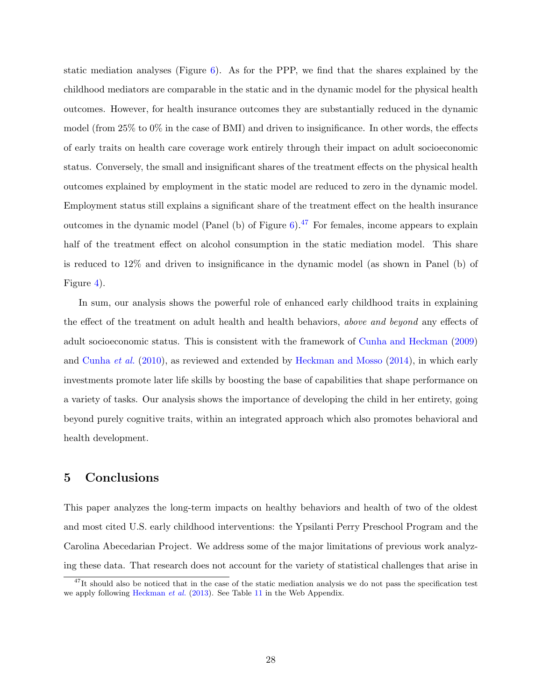static mediation analyses (Figure [6\)](#page-42-0). As for the PPP, we find that the shares explained by the childhood mediators are comparable in the static and in the dynamic model for the physical health outcomes. However, for health insurance outcomes they are substantially reduced in the dynamic model (from  $25\%$  to  $0\%$  in the case of BMI) and driven to insignificance. In other words, the effects of early traits on health care coverage work entirely through their impact on adult socioeconomic status. Conversely, the small and insignificant shares of the treatment effects on the physical health outcomes explained by employment in the static model are reduced to zero in the dynamic model. Employment status still explains a significant share of the treatment effect on the health insurance outcomes in the dynamic model (Panel (b) of Figure  $6$ ).<sup>[47](#page--1-0)</sup> For females, income appears to explain half of the treatment effect on alcohol consumption in the static mediation model. This share is reduced to 12% and driven to insignificance in the dynamic model (as shown in Panel (b) of Figure [4\)](#page-40-0).

In sum, our analysis shows the powerful role of enhanced early childhood traits in explaining the effect of the treatment on adult health and health behaviors, above and beyond any effects of adult socioeconomic status. This is consistent with the framework of [Cunha and Heckman](#page-45-8) [\(2009\)](#page-45-8) and [Cunha](#page-45-9) et al. [\(2010\)](#page-45-9), as reviewed and extended by [Heckman and Mosso](#page-47-8) [\(2014\)](#page-47-8), in which early investments promote later life skills by boosting the base of capabilities that shape performance on a variety of tasks. Our analysis shows the importance of developing the child in her entirety, going beyond purely cognitive traits, within an integrated approach which also promotes behavioral and health development.

## <span id="page-30-0"></span>5 Conclusions

This paper analyzes the long-term impacts on healthy behaviors and health of two of the oldest and most cited U.S. early childhood interventions: the Ypsilanti Perry Preschool Program and the Carolina Abecedarian Project. We address some of the major limitations of previous work analyzing these data. That research does not account for the variety of statistical challenges that arise in

 $47$ It should also be noticed that in the case of the static mediation analysis we do not pass the specification test we apply following [Heckman](#page-48-6) et al. [\(2013\)](#page-48-6). See Table [11](#page--1-0) in the Web Appendix.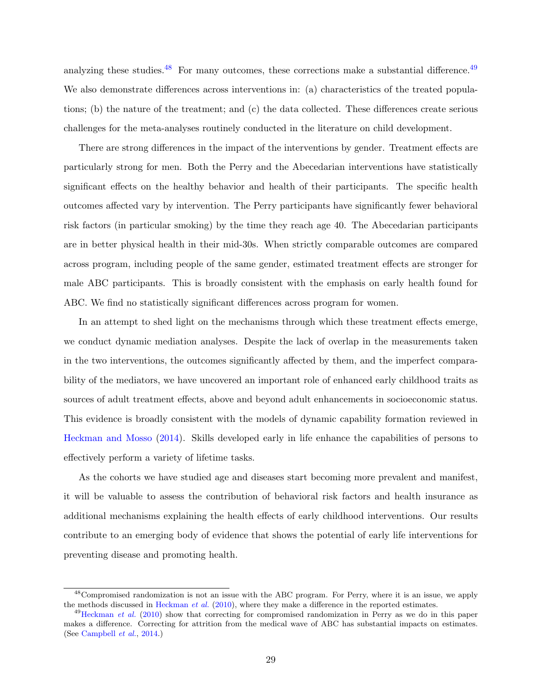analyzing these studies. $48$  For many outcomes, these corrections make a substantial difference.  $49$ We also demonstrate differences across interventions in: (a) characteristics of the treated populations; (b) the nature of the treatment; and (c) the data collected. These differences create serious challenges for the meta-analyses routinely conducted in the literature on child development.

There are strong differences in the impact of the interventions by gender. Treatment effects are particularly strong for men. Both the Perry and the Abecedarian interventions have statistically significant effects on the healthy behavior and health of their participants. The specific health outcomes affected vary by intervention. The Perry participants have significantly fewer behavioral risk factors (in particular smoking) by the time they reach age 40. The Abecedarian participants are in better physical health in their mid-30s. When strictly comparable outcomes are compared across program, including people of the same gender, estimated treatment effects are stronger for male ABC participants. This is broadly consistent with the emphasis on early health found for ABC. We find no statistically significant differences across program for women.

In an attempt to shed light on the mechanisms through which these treatment effects emerge, we conduct dynamic mediation analyses. Despite the lack of overlap in the measurements taken in the two interventions, the outcomes significantly affected by them, and the imperfect comparability of the mediators, we have uncovered an important role of enhanced early childhood traits as sources of adult treatment effects, above and beyond adult enhancements in socioeconomic status. This evidence is broadly consistent with the models of dynamic capability formation reviewed in [Heckman and Mosso](#page-47-8) [\(2014\)](#page-47-8). Skills developed early in life enhance the capabilities of persons to effectively perform a variety of lifetime tasks.

As the cohorts we have studied age and diseases start becoming more prevalent and manifest, it will be valuable to assess the contribution of behavioral risk factors and health insurance as additional mechanisms explaining the health effects of early childhood interventions. Our results contribute to an emerging body of evidence that shows the potential of early life interventions for preventing disease and promoting health.

<sup>&</sup>lt;sup>48</sup>Compromised randomization is not an issue with the ABC program. For Perry, where it is an issue, we apply the methods discussed in [Heckman](#page-47-1) et al.  $(2010)$ , where they make a difference in the reported estimates.

 $^{49}$ [Heckman](#page-47-1) *et al.* [\(2010\)](#page-47-1) show that correcting for compromised randomization in Perry as we do in this paper makes a difference. Correcting for attrition from the medical wave of ABC has substantial impacts on estimates. (See [Campbell](#page-43-1) et al., [2014.](#page-43-1))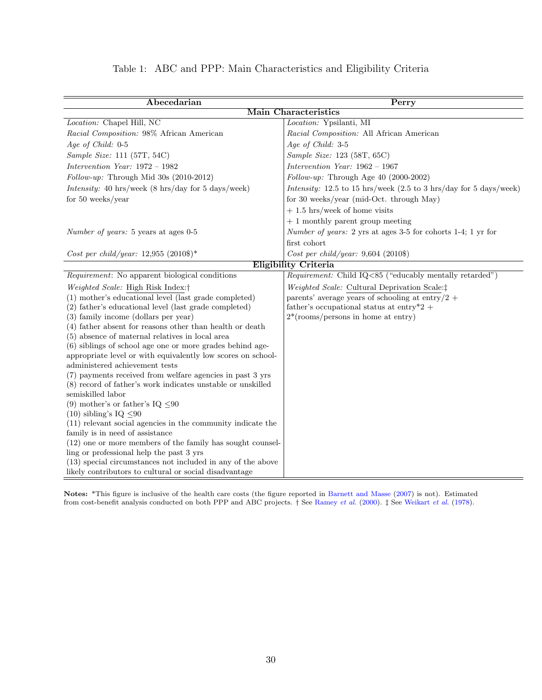|  |  |  | Table 1: ABC and PPP: Main Characteristics and Eligibility Criteria |  |  |  |
|--|--|--|---------------------------------------------------------------------|--|--|--|
|--|--|--|---------------------------------------------------------------------|--|--|--|

<span id="page-32-0"></span>

| Abecedarian                                                                                                  | Perry                                                                                |  |  |  |  |  |
|--------------------------------------------------------------------------------------------------------------|--------------------------------------------------------------------------------------|--|--|--|--|--|
|                                                                                                              | <b>Main Characteristics</b>                                                          |  |  |  |  |  |
| Location: Chapel Hill, NC                                                                                    | Location: Ypsilanti, MI                                                              |  |  |  |  |  |
| Racial Composition: 98% African American                                                                     | Racial Composition: All African American                                             |  |  |  |  |  |
| Age of Child: $0-5$                                                                                          | Age of Child: 3-5                                                                    |  |  |  |  |  |
| Sample Size: 111 (57T, 54C)                                                                                  | Sample Size: 123 (58T, 65C)                                                          |  |  |  |  |  |
| Intervention Year: $1972 - 1982$                                                                             | Intervention Year: $1962 - 1967$                                                     |  |  |  |  |  |
| Follow-up: Through Mid 30s (2010-2012)                                                                       | $Follow-up$ : Through Age 40 (2000-2002)                                             |  |  |  |  |  |
| Intensity: 40 hrs/week $(8 \text{ hrs/day}$ for 5 days/week)                                                 | Intensity: 12.5 to 15 hrs/week $(2.5 \text{ to } 3 \text{ hrs/day}$ for 5 days/week) |  |  |  |  |  |
| for $50$ weeks/year                                                                                          | for 30 weeks/year (mid-Oct. through May)                                             |  |  |  |  |  |
|                                                                                                              | $+1.5$ hrs/week of home visits                                                       |  |  |  |  |  |
|                                                                                                              | $+1$ monthly parent group meeting                                                    |  |  |  |  |  |
| <i>Number of years:</i> 5 years at ages 0-5                                                                  | <i>Number of years:</i> 2 yrs at ages 3-5 for cohorts 1-4; 1 yr for                  |  |  |  |  |  |
|                                                                                                              | first cohort                                                                         |  |  |  |  |  |
| Cost per child/year: 12,955 (2010\$)*                                                                        | Cost per child/year: $9,604$ (2010\$)                                                |  |  |  |  |  |
|                                                                                                              | <b>Eligibility Criteria</b>                                                          |  |  |  |  |  |
| $Requirement$ : No apparent biological conditions                                                            | <i>Requirement:</i> Child IQ<85 ("educably mentally retarded")                       |  |  |  |  |  |
| Weighted Scale: High Risk Index:                                                                             | Weighted Scale: Cultural Deprivation Scale: <sup>†</sup>                             |  |  |  |  |  |
| (1) mother's educational level (last grade completed)                                                        | parents' average years of schooling at entry/2 +                                     |  |  |  |  |  |
| (2) father's educational level (last grade completed)                                                        | father's occupational status at entry*2 +                                            |  |  |  |  |  |
| (3) family income (dollars per year)                                                                         | $2*(\text{rooms/persons in home at entry})$                                          |  |  |  |  |  |
| (4) father absent for reasons other than health or death                                                     |                                                                                      |  |  |  |  |  |
| (5) absence of maternal relatives in local area<br>(6) siblings of school age one or more grades behind age- |                                                                                      |  |  |  |  |  |
| appropriate level or with equivalently low scores on school-                                                 |                                                                                      |  |  |  |  |  |
| administered achievement tests                                                                               |                                                                                      |  |  |  |  |  |
| (7) payments received from welfare agencies in past 3 yrs                                                    |                                                                                      |  |  |  |  |  |
| (8) record of father's work indicates unstable or unskilled                                                  |                                                                                      |  |  |  |  |  |
| semiskilled labor                                                                                            |                                                                                      |  |  |  |  |  |
| (9) mother's or father's $IQ \leq 90$                                                                        |                                                                                      |  |  |  |  |  |
| $(10)$ sibling's IQ $\leq 90$                                                                                |                                                                                      |  |  |  |  |  |
| $(11)$ relevant social agencies in the community indicate the                                                |                                                                                      |  |  |  |  |  |
| family is in need of assistance                                                                              |                                                                                      |  |  |  |  |  |
| $(12)$ one or more members of the family has sought counsel-<br>ling or professional help the past 3 yrs     |                                                                                      |  |  |  |  |  |
| (13) special circumstances not included in any of the above                                                  |                                                                                      |  |  |  |  |  |
| likely contributors to cultural or social disadvantage                                                       |                                                                                      |  |  |  |  |  |

Notes: \*This figure is inclusive of the health care costs (the figure reported in [Barnett and Masse](#page-43-9) [\(2007\)](#page-43-9) is not). Estimated from cost-benefit analysis conducted on both PPP and ABC projects. † See [Ramey](#page-52-0) et al. [\(2000\)](#page-52-0). ‡ See [Weikart](#page-54-4) et al. [\(1978\)](#page-54-4).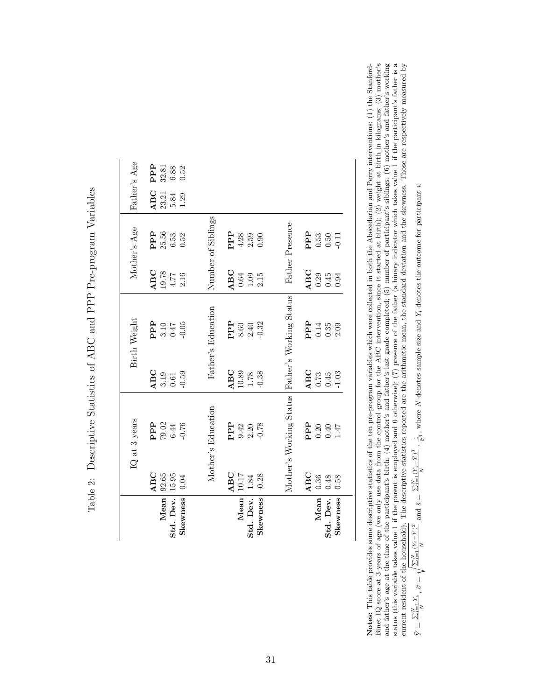<span id="page-33-0"></span>

|                 |          | IQ at 3 years                                                                       |                                                       | Birth Weight               |                                             | Mother's Age                    | Father's Age |                                                      |
|-----------------|----------|-------------------------------------------------------------------------------------|-------------------------------------------------------|----------------------------|---------------------------------------------|---------------------------------|--------------|------------------------------------------------------|
|                 | ABC      |                                                                                     | ABC                                                   |                            | ABC                                         | PPP                             | ABC          | PPP                                                  |
| Mean            | 92.65    | $\begin{array}{l} {\bf PPP} \\ {\bf 79.02} \\ {\bf 6.44} \\ {\bf 0.76} \end{array}$ | $\begin{array}{c} 3.19 \\ 0.61 \end{array}$           | $PPT$<br>3.10<br>3.10      | $\frac{19.78}{4.77}$                        | 25.56                           | 23.21        | $\begin{array}{c} 32.81 \\ 6.88 \\ 0.52 \end{array}$ |
| Std. Dev.       | 15.95    |                                                                                     |                                                       |                            |                                             | $6.53\,$                        | 5.84         |                                                      |
| <b>Skewness</b> | 0.04     |                                                                                     | $-0.59$                                               | $-0.05$                    | 2.16                                        | 0.52                            | 1.29         |                                                      |
|                 |          |                                                                                     |                                                       |                            |                                             |                                 |              |                                                      |
|                 |          | Mother's Education                                                                  |                                                       | Father's Education         |                                             | Number of Siblings              |              |                                                      |
|                 | ABC      | $\rm \mathbf{P}\mathbf{P}$                                                          | ABC                                                   | ${\tt PP}$                 | ABC                                         | PPP                             |              |                                                      |
| Mean            | 10.17    | 9.42                                                                                |                                                       | $8.60$<br>2.40             | $\begin{array}{c} 0.64 \\ 1.09 \end{array}$ | $4.28$<br>2.59                  |              |                                                      |
| Std. Dev.       | $1.84\,$ | $2.20\,$                                                                            | $\begin{array}{c} 10.89 \\ 1.78 \\ -0.38 \end{array}$ |                            |                                             |                                 |              |                                                      |
| Skewness        | $-0.28$  | $-0.78$                                                                             |                                                       | $-0.32$                    | 2.15                                        | 0.90                            |              |                                                      |
|                 |          |                                                                                     |                                                       |                            |                                             |                                 |              |                                                      |
|                 |          | Mother's Working Status                                                             |                                                       | Father's Working Status    |                                             | Father Presence                 |              |                                                      |
|                 | ABC      |                                                                                     |                                                       |                            | ABC                                         |                                 |              |                                                      |
| Mean            | 0.36     | <b>PPP</b><br>0.30<br>0.47<br>1.47                                                  | $\frac{\text{ABC}}{0.73}$                             | <b>PPP</b><br>0.14<br>0.35 |                                             | $P$ $P$ $3$<br>$0.50$<br>$0.50$ |              |                                                      |
| Std. Dev.       | 0.48     |                                                                                     |                                                       |                            | $0.29$<br>$0.45$                            |                                 |              |                                                      |
| Skewness        | 0.58     |                                                                                     | $-1.03$                                               | 2.09                       | 0.94                                        | $-0.11$                         |              |                                                      |

Table 2: Descriptive Statistics of ABC and PPP Pre-program Variables Table 2: Descriptive Statistics of ABC and PPP Pre-program Variables Notes: This table provides some descriptive statistics of the ten pre-program variables which were collected in both the Abecedarian and Perry interventions: (1) the Stanford-<br>Binet LQ score at 3 years of age (we only use status (this variable takes value 1 if the parent is employed and 0 otherwise); (7) presence of the father (a binary indicator which takes value 1 if the participant's father is a Notes: This table provides some descriptive statistics of the ten pre-program variables which were collected in both the Abecedarian and Perry interventions: (1) the Stanford-Binet IQ score at 3 years of age (we only use data from the control group for the ABC intervention, since it started at birth); (2) weight at birth in kilograms; (3) mother's and father's age at the time of the participant's birth; (4) mother's and father's last grade completed; (5) mumber of participant's siblings; (6) mother's and father's working current resident of the household). The descriptive statistics reported are the arithmetic mean, the standard deviation and the skewness. Those are respectively measured by  $\bar{Y} = \frac{\sum_{i=1}^{N} (Y_i - \bar{Y})^2}{\sqrt{\sum_{i=1}^{N} (Y_i - \$  $\bar{\mathbf{z}}$ 

$$
\bar{Y} = \frac{\sum_{i=1}^{N} Y_i}{N}, \ \hat{\sigma} = \sqrt{\frac{\sum_{i=1}^{N} (Y_i - \bar{Y})^2}{N}} \text{ and } \hat{s} = \frac{\sum_{i=1}^{N} (Y_i - \bar{Y})^3}{N} \cdot \frac{1}{\hat{\sigma}^3}
$$
, where *N* denotes sample size and  $Y_i$  denotes the outcome for particular *i*.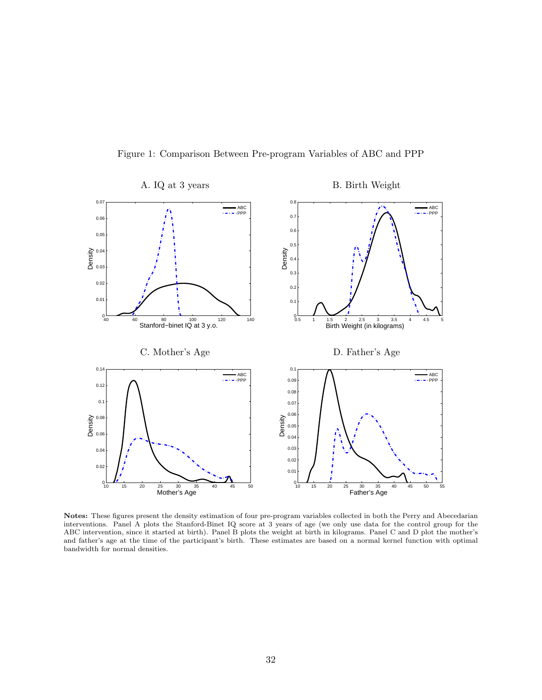

<span id="page-34-0"></span>

Notes: These figures present the density estimation of four pre-program variables collected in both the Perry and Abecedarian interventions. Panel A plots the Stanford-Binet IQ score at 3 years of age (we only use data for the control group for the ABC intervention, since it started at birth). Panel B plots the weight at birth in kilograms. Panel C and D plot the mother's and father's age at the time of the participant's birth. These estimates are based on a normal kernel function with optimal bandwidth for normal densities.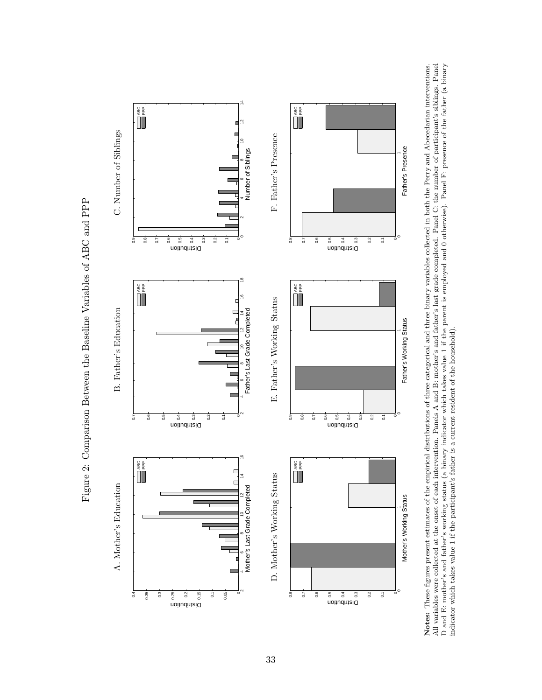

<span id="page-35-0"></span>

Notes: These figures present estimates of the empirical distributions of three categorical and three binary variables collected in both the Perry and Abecedarian interventions.<br>All variables were collected at the onset of Notes: These figures present estimates of the empirical distributions of three categorical and three binary variables collected in both the Perry and Abecedarian interventions. All variables were collected at the onset of each intervention. Panels A and B: mother's and father's last grade completed. Panel C: the number of participant's siblings. Panel D and E: mother's and father's working status (a binary indicator which takes value 1 if the parent is employed and 0 otherwise). Panel F: presence of the father (a binary indicator which takes value 1 if the participant's father is a current resident of the household).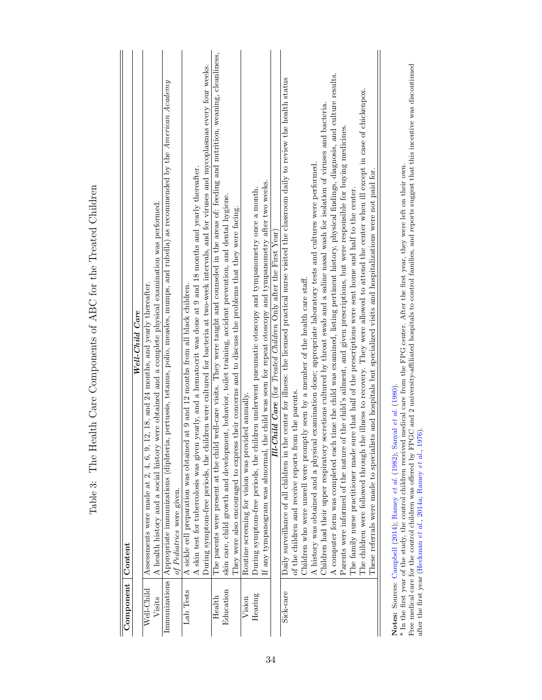<span id="page-36-0"></span>

| Component Content |                                                                                                                                                                                                                                                        |
|-------------------|--------------------------------------------------------------------------------------------------------------------------------------------------------------------------------------------------------------------------------------------------------|
|                   | Well-Child Care                                                                                                                                                                                                                                        |
| Well-Child        | Assessments were made at $2, 4, 6, 9, 12, 18,$ and $24$ months, and yearly thereafter.                                                                                                                                                                 |
| Visits            | A health history and a social history were obtained and a complete physical examination was performed                                                                                                                                                  |
|                   | Immunizations   Appropriate immunizations (diphteria, pertussis, tetanus, polio, measles, mumps, and rubella) as recommended by the American Academy                                                                                                   |
|                   | of Pediatrics were given.                                                                                                                                                                                                                              |
| Lab Tests         | A sickle cell preparation was obtained at 9 and 12 months from all black children.                                                                                                                                                                     |
|                   | A skin test for tubercolosis was given yearly, and a hematocrit was done at 9 and 18 months and yearly thereafter.                                                                                                                                     |
|                   | During symptom-free periods, the children were cultured for bacteria at two-week intervals, and for viruses and mycoplasmas every four weeks.                                                                                                          |
| Health            | The parents were present at the child well-care visits. They were taught and counseled in the areas of: feeding and nutrition, weaning, cleanliness,                                                                                                   |
| Education         | skin care, child growth and development, behavior, toilet training, accident prevention, and dental hygiene.                                                                                                                                           |
|                   | They were also encouraged to express their concerns and to discuss the problems that they were facing.                                                                                                                                                 |
| Vision            | Routine screening for vision was provided annually.                                                                                                                                                                                                    |
| Hearing           | During symptom-free periods, the children underwent pneumatic otoscopy and tympanometry once a month.                                                                                                                                                  |
|                   | the child was seen for repeat otoscopy and tympanometry after two weeks.<br>If any tympanogram was abnormal,                                                                                                                                           |
|                   | <b>Ill-Child Care</b> (for Treated Children Only after the First Year)                                                                                                                                                                                 |
| Sick-care         | the center for illness: the licensed practical nurse visited the classroom daily to review the health status<br>Daily surveillance of all children in t                                                                                                |
|                   | of the children and receive reports from the parents.                                                                                                                                                                                                  |
|                   | Children who were unwell were promptly seen by a member of the health care staff.                                                                                                                                                                      |
|                   | A history was obtained and a physical examination done; appropriate laboratory tests and cultures were performed.                                                                                                                                      |
|                   | Children had their upper respiratory secretions cultured by throat swab and a saline nasal wash for isolation of viruses and bacteria.                                                                                                                 |
|                   | A computer form was completed each time the child was examined, listing pertinent history, physical findings, diagnosis, and culture results.                                                                                                          |
|                   | Parents were informed of the nature of the child's ailment, and given prescriptions, but were responsible for buying medicines.                                                                                                                        |
|                   | sure that half of the prescriptions were sent home and half to the center.<br>The family nurse practitioner made                                                                                                                                       |
|                   | The children were followed through the illness to recovery. They were allowed to attend the center when ill except in case of chickenpox.                                                                                                              |
|                   | These referrals were made to specialists and hospitals but specialized visits and hospitalizations were not paid for.                                                                                                                                  |
|                   |                                                                                                                                                                                                                                                        |
|                   | * In the first year of the study, the control children received medical care from the FPG center. After the first year, they were left on their own.<br>Notes: Sources: Campbell (2014); Ramey et al. (1982); Sanyal et al. (1980).                    |
|                   | Free medical care for the control children was offered by FPGC and 2 university-affiliated hospitals to control families, and reports suggest that this incentive was discontinued<br>after the first year (Heckman et al., 2014a, Ramey et al., 1976) |

Table 3: The Health Care Components of ABC for the Treated Children Table 3: The Health Care Components of ABC for the Treated Children

after the first year [\(Heckman](#page-47-7) et al., [2014a;](#page-47-7) [Ramey](#page-52-1) et al., [1976\)](#page-52-1).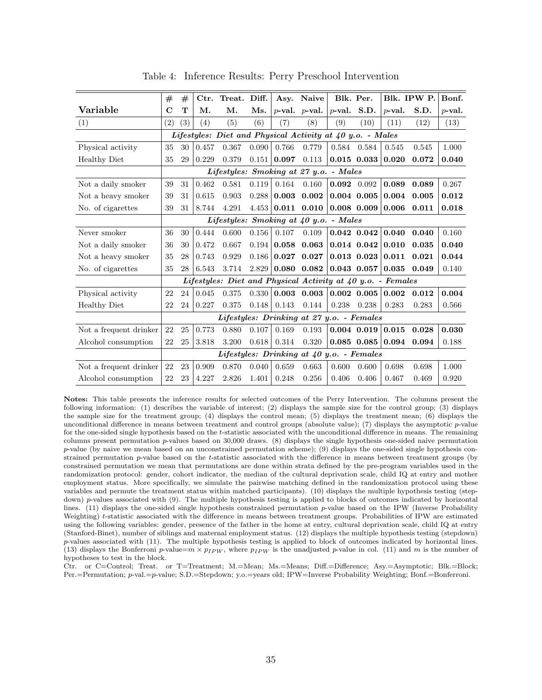<span id="page-37-0"></span>

|                        |             | #   | Ctr.  | Treat. Diff.                                                |       | Asy.              | Naive               |                | Blk. Per.       |           | Blk. IPW P. | Bonf.     |
|------------------------|-------------|-----|-------|-------------------------------------------------------------|-------|-------------------|---------------------|----------------|-----------------|-----------|-------------|-----------|
| Variable               | $\mathbf C$ | T   | Μ.    | М.                                                          | Ms.   |                   | $p$ -val. $p$ -val. | $p$ -val. S.D. |                 | $p$ -val. | S.D.        | $p$ -val. |
| (1)                    | (2)         | (3) | (4)   | (5)                                                         | (6)   | $\left( 7\right)$ | (8)                 | (9)            | (10)            | (11)      | (12)        | (13)      |
|                        |             |     |       | Lifestyles: Diet and Physical Activity at 40 y.o. - Males   |       |                   |                     |                |                 |           |             |           |
| Physical activity      | 35          | 30  | 0.457 | 0.367                                                       | 0.090 | 0.766             | 0.779               | 0.584          | 0.584           | 0.545     | 0.545       | 1.000     |
| <b>Healthy Diet</b>    | 35          | 29  | 0.229 | 0.379                                                       | 0.151 | 0.097             | 0.113               |                | $0.015$ $0.033$ | 0.020     | 0.072       | 0.040     |
|                        |             |     |       | Lifestyles: Smoking at 27 y.o. - Males                      |       |                   |                     |                |                 |           |             |           |
| Not a daily smoker     | 39          | 31  | 0.462 | 0.581                                                       | 0.119 | 0.164             | 0.160               | $0.092$ 0.092  |                 | 0.089     | 0.089       | 0.267     |
| Not a heavy smoker     | 39          | 31  | 0.615 | 0.903                                                       | 0.288 | 0.003             | 0.002               |                | $0.004$ $0.005$ | 0.004     | 0.005       | 0.012     |
| No. of cigarettes      | 39          | 31  | 8.744 | 4.291                                                       | 4.453 | 0.011             | 0.010               |                | $0.008$ 0.009   | 0.006     | 0.011       | 0.018     |
|                        |             |     |       | Lifestyles: Smoking at 40 y.o. - Males                      |       |                   |                     |                |                 |           |             |           |
| Never smoker           | 36          | 30  | 0.444 | 0.600                                                       | 0.156 | 0.107             | 0.109               |                | $0.042$ $0.042$ | 0.040     | 0.040       | 0.160     |
| Not a daily smoker     | 36          | 30  | 0.472 | 0.667                                                       | 0.194 | 0.058             | 0.063               |                | $0.014$ $0.042$ | 0.010     | 0.035       | 0.040     |
| Not a heavy smoker     | 35          | 28  | 0.743 | 0.929                                                       | 0.186 | 0.027             | 0.027               |                | $0.013$ $0.023$ | 0.011     | 0.021       | 0.044     |
| No. of cigarettes      | 35          | 28  | 6.543 | 3.714                                                       | 2.829 |                   | $0.080$ $0.082$     |                | 0.043 0.057     | 0.035     | 0.049       | 0.140     |
|                        |             |     |       | Lifestyles: Diet and Physical Activity at 40 y.o. - Females |       |                   |                     |                |                 |           |             |           |
| Physical activity      | 22          | 24  | 0.045 | 0.375                                                       | 0.330 |                   | $0.003$ 0.003       |                | $0.002$ $0.005$ | 0.002     | 0.012       | 0.004     |
| <b>Healthy Diet</b>    | 22          | 24  | 0.227 | 0.375                                                       | 0.148 | 0.143             | 0.144               | 0.238          | 0.238           | 0.283     | 0.283       | 0.566     |
|                        |             |     |       | Lifestyles: Drinking at 27 y.o. - Females                   |       |                   |                     |                |                 |           |             |           |
| Not a frequent drinker | 22          | 25  | 0.773 | 0.880                                                       | 0.107 | 0.169             | 0.193               |                | $0.004$ $0.019$ | 0.015     | 0.028       | 0.030     |
| Alcohol consumption    | 22          | 25  | 3.818 | 3.200                                                       | 0.618 | 0.314             | 0.320               |                | $0.085$ $0.085$ | 0.094     | 0.094       | 0.188     |
|                        |             |     |       | Lifestyles: Drinking at 40 y.o. - Females                   |       |                   |                     |                |                 |           |             |           |
| Not a frequent drinker | 22          | 23  | 0.909 | 0.870                                                       | 0.040 | 0.659             | 0.663               | 0.600          | 0.600           | 0.698     | 0.698       | 1.000     |
| Alcohol consumption    | 22          | 23  | 4.227 | 2.826                                                       | 1.401 | 0.248             | 0.256               | 0.406          | 0.406           | 0.467     | 0.469       | 0.920     |

Table 4: Inference Results: Perry Preschool Intervention

Notes: This table presents the inference results for selected outcomes of the Perry Intervention. The columns present the following information: (1) describes the variable of interest; (2) displays the sample size for the control group; (3) displays the sample size for the treatment group; (4) displays the control mean; (5) displays the treatment mean; (6) displays the unconditional difference in means between treatment and control groups (absolute value); (7) displays the asymptotic p-value for the one-sided single hypothesis based on the t-statistic associated with the unconditional difference in means. The remaining columns present permutation p-values based on 30,000 draws. (8) displays the single hypothesis one-sided naive permutation p-value (by naive we mean based on an unconstrained permutation scheme); (9) displays the one-sided single hypothesis constrained permutation p-value based on the t-statistic associated with the difference in means between treatment groups (by constrained permutation we mean that permutations are done within strata defined by the pre-program variables used in the randomization protocol: gender, cohort indicator, the median of the cultural deprivation scale, child IQ at entry and mother employment status. More specifically, we simulate the pairwise matching defined in the randomization protocol using these variables and permute the treatment status within matched participants). (10) displays the multiple hypothesis testing (stepdown) p-values associated with (9). The multiple hypothesis testing is applied to blocks of outcomes indicated by horizontal lines. (11) displays the one-sided single hypothesis constrained permutation p-value based on the IPW (Inverse Probability Weighting) t-statistic associated with the difference in means between treatment groups. Probabilities of IPW are estimated using the following variables: gender, presence of the father in the home at entry, cultural deprivation scale, child IQ at entry (Stanford-Binet), number of siblings and maternal employment status. (12) displays the multiple hypothesis testing (stepdown)  $p$ -values associated with (11). The multiple hypothesis testing is applied to block of outcomes indicated by horizontal lines. (13) displays the Bonferroni p-value= $m \times p_{IPW}$ , where  $p_{IPW}$  is the unadjusted p-value in col. (11) and m is the number of hypotheses to test in the block.

Ctr. or C=Control; Treat. or T=Treatment; M.=Mean; Ms.=Means; Diff.=Difference; Asy.=Asymptotic; Blk.=Block; Per.=Permutation; p-val.=p-value; S.D.=Stepdown; y.o.=years old; IPW=Inverse Probability Weighting; Bonf.=Bonferroni.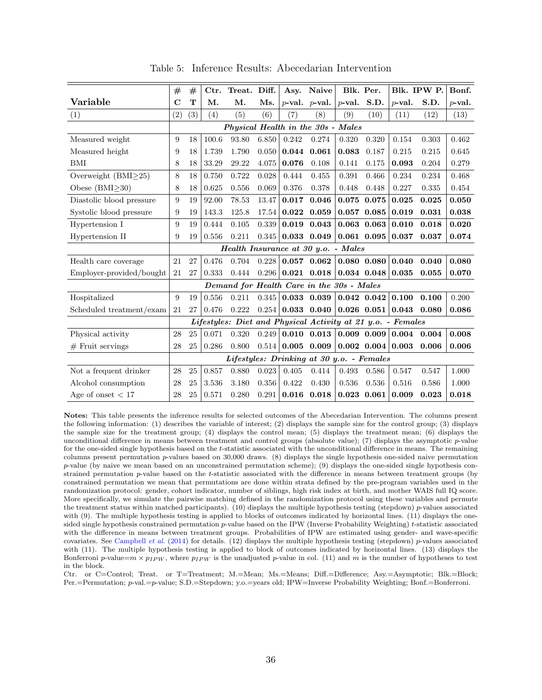<span id="page-38-0"></span>

|                            | $^{\#}$           | $^{\#}$ | Ctr.  | Treat. Diff.                              |           | Asy.                                                        | <b>Naive</b>        |           | Blk. Per.       |           | Blk. IPW P. | Bonf.     |
|----------------------------|-------------------|---------|-------|-------------------------------------------|-----------|-------------------------------------------------------------|---------------------|-----------|-----------------|-----------|-------------|-----------|
| Variable                   | $\mathbf C$       | T       | M.    | M.                                        | Ms.       |                                                             | $p$ -val. $p$ -val. | $p$ -val. | S.D.            | $p$ -val. | S.D.        | $p$ -val. |
| (1)                        | $\left( 2\right)$ | (3)     | (4)   | (5)                                       | (6)       | (7)                                                         | (8)                 | (9)       | (10)            | (11)      | (12)        | (13)      |
|                            |                   |         |       | Physical Health in the 30s - Males        |           |                                                             |                     |           |                 |           |             |           |
| Measured weight            | 9                 | 18      | 100.6 | 93.80                                     | 6.850     | 0.242                                                       | 0.274               | 0.320     | 0.320           | 0.154     | 0.303       | 0.462     |
| Measured height            | 9                 | 18      | 1.739 | 1.790                                     | 0.050     | 0.044                                                       | 0.061               | 0.083     | 0.187           | 0.215     | 0.215       | 0.645     |
| BMI                        | 8                 | 18      | 33.29 | 29.22                                     | 4.075     | 0.076                                                       | 0.108               | 0.141     | 0.175           | 0.093     | 0.204       | 0.279     |
| Overweight $(BMI \geq 25)$ | 8                 | 18      | 0.750 | 0.722                                     | 0.028     | 0.444                                                       | 0.455               | 0.391     | 0.466           | 0.234     | 0.234       | 0.468     |
| Obese $(BMI > 30)$         | 8                 | 18      | 0.625 | 0.556                                     | 0.069     | 0.376                                                       | 0.378               | 0.448     | 0.448           | 0.227     | 0.335       | 0.454     |
| Diastolic blood pressure   | 9                 | 19      | 92.00 | 78.53                                     | 13.47     | 0.017                                                       | 0.046               | 0.075     | 0.075           | 0.025     | 0.025       | 0.050     |
| Systolic blood pressure    | 9                 | 19      | 143.3 | 125.8                                     | 17.54     | 0.022                                                       | 0.059               | 0.057     | 0.085           | 0.019     | 0.031       | 0.038     |
| Hypertension I             | 9                 | 19      | 0.444 | 0.105                                     | $0.339\,$ | 0.019                                                       | 0.043               |           | $0.063$ $0.063$ | 0.010     | 0.018       | 0.020     |
| Hypertension II            | 9                 | 19      | 0.556 | 0.211                                     | 0.345     | 0.033                                                       | 0.049               |           | $0.061$ $0.095$ | 0.037     | 0.037       | 0.074     |
|                            |                   |         |       | Health Insurance at 30 y.o. - Males       |           |                                                             |                     |           |                 |           |             |           |
| Health care coverage       | 21                | 27      | 0.476 | 0.704                                     | 0.228     |                                                             | $0.057$ 0.062       |           | $0.080$ $0.080$ | 0.040     | 0.040       | 0.080     |
| Employer-provided/bought   | 21                | 27      | 0.333 | 0.444                                     | 0.296     |                                                             | $0.021$ $0.018$     |           | 0.034 0.048     | 0.035     | 0.055       | 0.070     |
|                            |                   |         |       | Demand for Health Care in the 30s - Males |           |                                                             |                     |           |                 |           |             |           |
| Hospitalized               | 9                 | 19      | 0.556 | 0.211                                     | 0.345     | 0.033                                                       | 0.039               |           | 0.042 0.042     | 0.100     | 0.100       | 0.200     |
| Scheduled treatment/exam   | 21                | 27      | 0.476 | 0.222                                     | 0.254     |                                                             | 0.033 0.040         |           | $0.026$ $0.051$ | 0.043     | 0.080       | 0.086     |
|                            |                   |         |       |                                           |           | Lifestyles: Diet and Physical Activity at 21 y.o. - Females |                     |           |                 |           |             |           |
| Physical activity          | 28                | 25      | 0.071 | 0.320                                     | 0.249     |                                                             | $0.010$ $0.013$     |           | $0.009$ $0.009$ | 0.004     | 0.004       | 0.008     |
| $#$ Fruit servings         | 28                | 25      | 0.286 | 0.800                                     | 0.514     | 0.005                                                       | 0.009               |           | $0.002$ $0.004$ | 0.003     | 0.006       | 0.006     |
|                            |                   |         |       | Lifestyles: Drinking at 30 y.o. - Females |           |                                                             |                     |           |                 |           |             |           |
| Not a frequent drinker     | 28                | 25      | 0.857 | 0.880                                     | 0.023     | 0.405                                                       | 0.414               | 0.493     | 0.586           | 0.547     | 0.547       | 1.000     |
| Alcohol consumption        | 28                | 25      | 3.536 | 3.180                                     | 0.356     | 0.422                                                       | 0.430               | 0.536     | 0.536           | 0.516     | 0.586       | 1.000     |
| Age of onset $< 17$        | 28                | 25      | 0.571 | 0.280                                     | 0.291     | 0.016                                                       | 0.018               |           | $0.023$ $0.061$ | 0.009     | 0.023       | 0.018     |

Table 5: Inference Results: Abecedarian Intervention

Notes: This table presents the inference results for selected outcomes of the Abecedarian Intervention. The columns present the following information: (1) describes the variable of interest; (2) displays the sample size for the control group; (3) displays the sample size for the treatment group; (4) displays the control mean; (5) displays the treatment mean; (6) displays the unconditional difference in means between treatment and control groups (absolute value); (7) displays the asymptotic p-value for the one-sided single hypothesis based on the t-statistic associated with the unconditional difference in means. The remaining columns present permutation p-values based on 30,000 draws. (8) displays the single hypothesis one-sided naive permutation p-value (by naive we mean based on an unconstrained permutation scheme); (9) displays the one-sided single hypothesis constrained permutation p-value based on the t-statistic associated with the difference in means between treatment groups (by constrained permutation we mean that permutations are done within strata defined by the pre-program variables used in the randomization protocol: gender, cohort indicator, number of siblings, high risk index at birth, and mother WAIS full IQ score. More specifically, we simulate the pairwise matching defined in the randomization protocol using these variables and permute the treatment status within matched participants). (10) displays the multiple hypothesis testing (stepdown)  $p$ -values associated with (9). The multiple hypothesis testing is applied to blocks of outcomes indicated by horizontal lines. (11) displays the onesided single hypothesis constrained permutation p-value based on the IPW (Inverse Probability Weighting) t-statistic associated with the difference in means between treatment groups. Probabilities of IPW are estimated using gender- and wave-specific covariates. See [Campbell](#page-43-1) *et al.* [\(2014\)](#page-43-1) for details. (12) displays the multiple hypothesis testing (stepdown) p-values associated with (11). The multiple hypothesis testing is applied to block of outcomes indicated by horizontal lines. (13) displays the Bonferroni p-value= $m \times p_{IPW}$ , where  $p_{IPW}$  is the unadjusted p-value in col. (11) and m is the number of hypotheses to test in the block.

Ctr. or C=Control; Treat. or T=Treatment; M.=Mean; Ms.=Means; Diff.=Difference; Asy.=Asymptotic; Blk.=Block; Per.=Permutation; p-val.=p-value; S.D.=Stepdown; y.o.=years old; IPW=Inverse Probability Weighting; Bonf.=Bonferroni.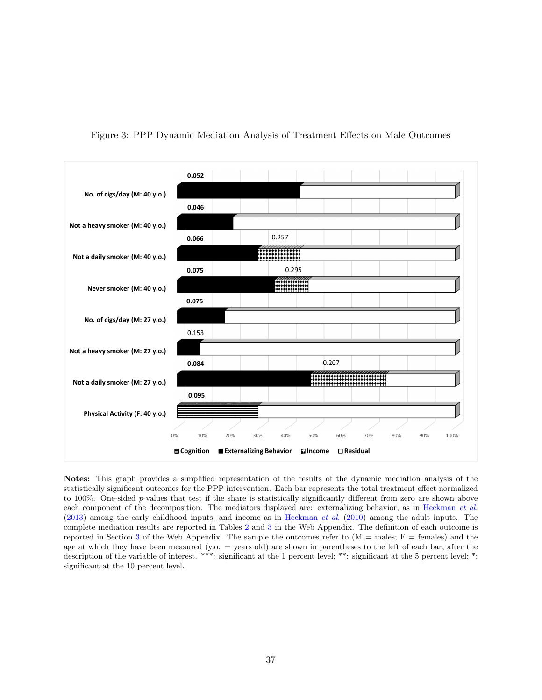

<span id="page-39-0"></span>Figure 3: PPP Dynamic Mediation Analysis of Treatment Effects on Male Outcomes

Notes: This graph provides a simplified representation of the results of the dynamic mediation analysis of the statistically significant outcomes for the PPP intervention. Each bar represents the total treatment effect normalized to 100%. One-sided p-values that test if the share is statistically significantly different from zero are shown above each component of the decomposition. The mediators displayed are: externalizing behavior, as in [Heckman](#page-48-6) et al.  $(2013)$  among the early childhood inputs; and income as in [Heckman](#page-47-1) *et al.*  $(2010)$  among the adult inputs. The complete mediation results are reported in Tables [2](#page--1-0) and [3](#page--1-0) in the Web Appendix. The definition of each outcome is reported in Section [3](#page-13-0) of the Web Appendix. The sample the outcomes refer to  $(M = \text{males}; F = \text{females})$  and the age at which they have been measured (y.o. = years old) are shown in parentheses to the left of each bar, after the description of the variable of interest. \*\*\*: significant at the 1 percent level; \*\*: significant at the 5 percent level; \*: significant at the 10 percent level.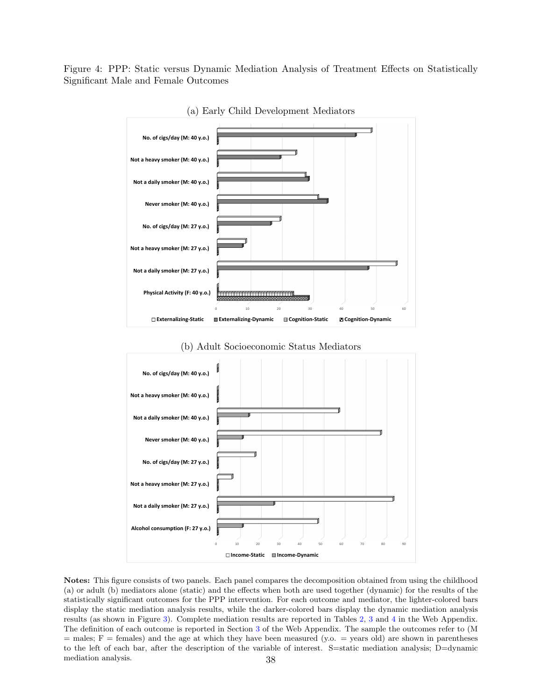<span id="page-40-0"></span>Figure 4: PPP: Static versus Dynamic Mediation Analysis of Treatment Effects on Statistically Significant Male and Female Outcomes



(a) Early Child Development Mediators





Notes: This figure consists of two panels. Each panel compares the decomposition obtained from using the childhood (a) or adult (b) mediators alone (static) and the effects when both are used together (dynamic) for the results of the statistically significant outcomes for the PPP intervention. For each outcome and mediator, the lighter-colored bars display the static mediation analysis results, while the darker-colored bars display the dynamic mediation analysis results (as shown in Figure [3\)](#page-39-0). Complete mediation results are reported in Tables [2,](#page--1-0) [3](#page--1-0) and [4](#page-32-0) in the Web Appendix. The definition of each outcome is reported in Section [3](#page-13-0) of the Web Appendix. The sample the outcomes refer to (M  $=$  males;  $F =$  females) and the age at which they have been measured (y.o.  $=$  years old) are shown in parentheses to the left of each bar, after the description of the variable of interest. S=static mediation analysis; D=dynamic mediation analysis. 38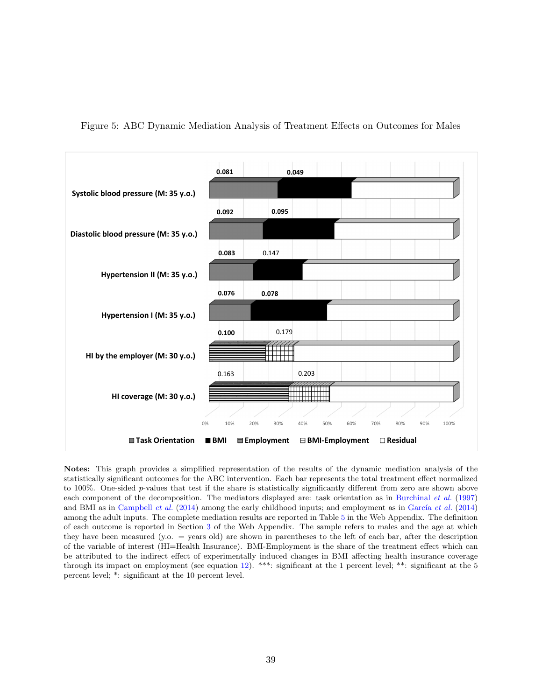

<span id="page-41-0"></span>Figure 5: ABC Dynamic Mediation Analysis of Treatment Effects on Outcomes for Males

Notes: This graph provides a simplified representation of the results of the dynamic mediation analysis of the statistically significant outcomes for the ABC intervention. Each bar represents the total treatment effect normalized to 100%. One-sided p-values that test if the share is statistically significantly different from zero are shown above each component of the decomposition. The mediators displayed are: task orientation as in [Burchinal](#page-43-7) et al. [\(1997\)](#page-43-7) and BMI as in [Campbell](#page-43-1) *et al.* [\(2014\)](#page-46-5) among the early childhood inputs; and employment as in García *et al.* (2014) among the adult inputs. The complete mediation results are reported in Table [5](#page-33-0) in the Web Appendix. The definition of each outcome is reported in Section [3](#page-13-0) of the Web Appendix. The sample refers to males and the age at which they have been measured (y.o. = years old) are shown in parentheses to the left of each bar, after the description of the variable of interest (HI=Health Insurance). BMI-Employment is the share of the treatment effect which can be attributed to the indirect effect of experimentally induced changes in BMI affecting health insurance coverage through its impact on employment (see equation [12\)](#page-20-2). \*\*\*: significant at the 1 percent level; \*\*: significant at the 5 percent level; \*: significant at the 10 percent level.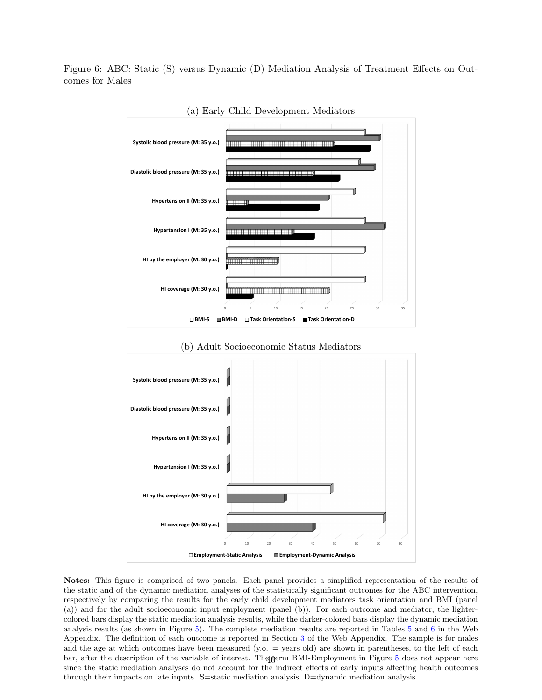<span id="page-42-0"></span>Figure 6: ABC: Static (S) versus Dynamic (D) Mediation Analysis of Treatment Effects on Outcomes for Males



(a) Early Child Development Mediators





Notes: This figure is comprised of two panels. Each panel provides a simplified representation of the results of the static and of the dynamic mediation analyses of the statistically significant outcomes for the ABC intervention, respectively by comparing the results for the early child development mediators task orientation and BMI (panel (a)) and for the adult socioeconomic input employment (panel (b)). For each outcome and mediator, the lightercolored bars display the static mediation analysis results, while the darker-colored bars display the dynamic mediation analysis results (as shown in Figure [5\)](#page-41-0). The complete mediation results are reported in Tables [5](#page-33-0) and [6](#page--1-0) in the Web Appendix. The definition of each outcome is reported in Section [3](#page-13-0) of the Web Appendix. The sample is for males and the age at which outcomes have been measured  $(y.o. = \text{years old})$  are shown in parentheses, to the left of each bar, after the description of the variable of interest. The term BMI-Employment in Figure [5](#page-41-0) does not appear here since the static mediation analyses do not account for the indirect effects of early inputs affecting health outcomes through their impacts on late inputs. S=static mediation analysis; D=dynamic mediation analysis.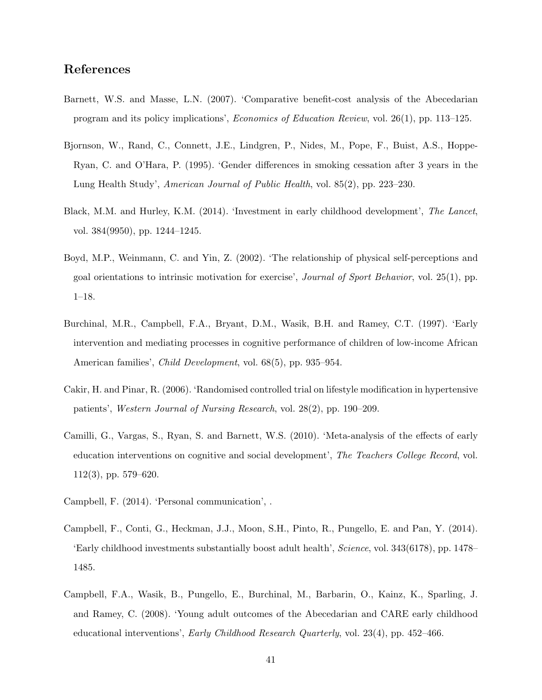## References

- <span id="page-43-9"></span>Barnett, W.S. and Masse, L.N. (2007). 'Comparative benefit-cost analysis of the Abecedarian program and its policy implications', Economics of Education Review, vol. 26(1), pp. 113–125.
- <span id="page-43-5"></span>Bjornson, W., Rand, C., Connett, J.E., Lindgren, P., Nides, M., Pope, F., Buist, A.S., Hoppe-Ryan, C. and O'Hara, P. (1995). 'Gender differences in smoking cessation after 3 years in the Lung Health Study', American Journal of Public Health, vol. 85(2), pp. 223–230.
- <span id="page-43-0"></span>Black, M.M. and Hurley, K.M. (2014). 'Investment in early childhood development', The Lancet, vol. 384(9950), pp. 1244–1245.
- <span id="page-43-8"></span>Boyd, M.P., Weinmann, C. and Yin, Z. (2002). 'The relationship of physical self-perceptions and goal orientations to intrinsic motivation for exercise', Journal of Sport Behavior, vol. 25(1), pp. 1–18.
- <span id="page-43-7"></span>Burchinal, M.R., Campbell, F.A., Bryant, D.M., Wasik, B.H. and Ramey, C.T. (1997). 'Early intervention and mediating processes in cognitive performance of children of low-income African American families', Child Development, vol. 68(5), pp. 935–954.
- <span id="page-43-6"></span>Cakir, H. and Pinar, R. (2006). 'Randomised controlled trial on lifestyle modification in hypertensive patients', Western Journal of Nursing Research, vol. 28(2), pp. 190–209.
- <span id="page-43-3"></span>Camilli, G., Vargas, S., Ryan, S. and Barnett, W.S. (2010). 'Meta-analysis of the effects of early education interventions on cognitive and social development', The Teachers College Record, vol. 112(3), pp. 579–620.
- <span id="page-43-4"></span>Campbell, F. (2014). 'Personal communication', .
- <span id="page-43-1"></span>Campbell, F., Conti, G., Heckman, J.J., Moon, S.H., Pinto, R., Pungello, E. and Pan, Y. (2014). 'Early childhood investments substantially boost adult health', Science, vol. 343(6178), pp. 1478– 1485.
- <span id="page-43-2"></span>Campbell, F.A., Wasik, B., Pungello, E., Burchinal, M., Barbarin, O., Kainz, K., Sparling, J. and Ramey, C. (2008). 'Young adult outcomes of the Abecedarian and CARE early childhood educational interventions', Early Childhood Research Quarterly, vol. 23(4), pp. 452–466.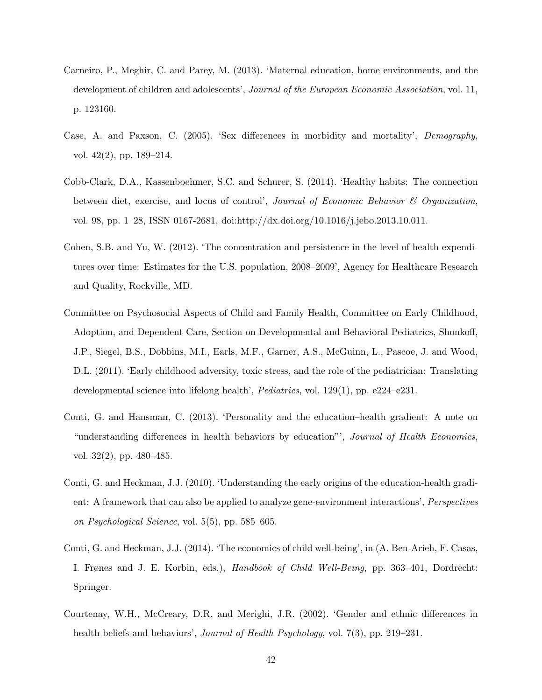- <span id="page-44-3"></span>Carneiro, P., Meghir, C. and Parey, M. (2013). 'Maternal education, home environments, and the development of children and adolescents', *Journal of the European Economic Association*, vol. 11, p. 123160.
- <span id="page-44-4"></span>Case, A. and Paxson, C. (2005). 'Sex differences in morbidity and mortality', Demography, vol. 42(2), pp. 189–214.
- <span id="page-44-7"></span>Cobb-Clark, D.A., Kassenboehmer, S.C. and Schurer, S. (2014). 'Healthy habits: The connection between diet, exercise, and locus of control', *Journal of Economic Behavior*  $\mathcal C$  *Organization*, vol. 98, pp. 1–28, ISSN 0167-2681, doi:http://dx.doi.org/10.1016/j.jebo.2013.10.011.
- <span id="page-44-0"></span>Cohen, S.B. and Yu, W. (2012). 'The concentration and persistence in the level of health expenditures over time: Estimates for the U.S. population, 2008–2009', Agency for Healthcare Research and Quality, Rockville, MD.
- <span id="page-44-2"></span>Committee on Psychosocial Aspects of Child and Family Health, Committee on Early Childhood, Adoption, and Dependent Care, Section on Developmental and Behavioral Pediatrics, Shonkoff, J.P., Siegel, B.S., Dobbins, M.I., Earls, M.F., Garner, A.S., McGuinn, L., Pascoe, J. and Wood, D.L. (2011). 'Early childhood adversity, toxic stress, and the role of the pediatrician: Translating developmental science into lifelong health', Pediatrics, vol. 129(1), pp. e224–e231.
- <span id="page-44-8"></span>Conti, G. and Hansman, C. (2013). 'Personality and the education–health gradient: A note on "understanding differences in health behaviors by education"', Journal of Health Economics, vol. 32(2), pp. 480–485.
- <span id="page-44-6"></span>Conti, G. and Heckman, J.J. (2010). 'Understanding the early origins of the education-health gradient: A framework that can also be applied to analyze gene-environment interactions', Perspectives on Psychological Science, vol. 5(5), pp. 585–605.
- <span id="page-44-1"></span>Conti, G. and Heckman, J.J. (2014). 'The economics of child well-being', in (A. Ben-Arieh, F. Casas, I. Frønes and J. E. Korbin, eds.), Handbook of Child Well-Being, pp. 363–401, Dordrecht: Springer.
- <span id="page-44-5"></span>Courtenay, W.H., McCreary, D.R. and Merighi, J.R. (2002). 'Gender and ethnic differences in health beliefs and behaviors', *Journal of Health Psychology*, vol. 7(3), pp. 219–231.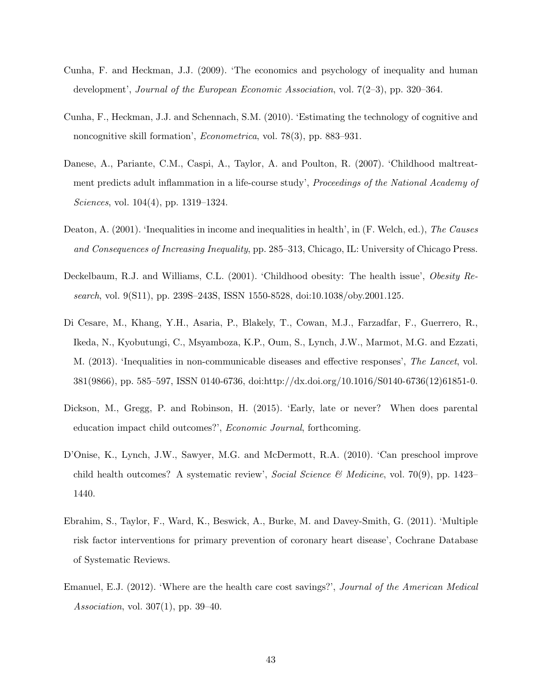- <span id="page-45-8"></span>Cunha, F. and Heckman, J.J. (2009). 'The economics and psychology of inequality and human development', Journal of the European Economic Association, vol. 7(2–3), pp. 320–364.
- <span id="page-45-9"></span>Cunha, F., Heckman, J.J. and Schennach, S.M. (2010). 'Estimating the technology of cognitive and noncognitive skill formation', Econometrica, vol. 78(3), pp. 883–931.
- <span id="page-45-1"></span>Danese, A., Pariante, C.M., Caspi, A., Taylor, A. and Poulton, R. (2007). 'Childhood maltreatment predicts adult inflammation in a life-course study', Proceedings of the National Academy of Sciences, vol. 104(4), pp. 1319–1324.
- <span id="page-45-5"></span>Deaton, A. (2001). 'Inequalities in income and inequalities in health', in (F. Welch, ed.), The Causes and Consequences of Increasing Inequality, pp. 285–313, Chicago, IL: University of Chicago Press.
- <span id="page-45-7"></span>Deckelbaum, R.J. and Williams, C.L. (2001). 'Childhood obesity: The health issue', *Obesity Re*search, vol. 9(S11), pp. 239S–243S, ISSN 1550-8528, doi:10.1038/oby.2001.125.
- <span id="page-45-2"></span>Di Cesare, M., Khang, Y.H., Asaria, P., Blakely, T., Cowan, M.J., Farzadfar, F., Guerrero, R., Ikeda, N., Kyobutungi, C., Msyamboza, K.P., Oum, S., Lynch, J.W., Marmot, M.G. and Ezzati, M. (2013). 'Inequalities in non-communicable diseases and effective responses', The Lancet, vol. 381(9866), pp. 585–597, ISSN 0140-6736, doi:http://dx.doi.org/10.1016/S0140-6736(12)61851-0.
- <span id="page-45-3"></span>Dickson, M., Gregg, P. and Robinson, H. (2015). 'Early, late or never? When does parental education impact child outcomes?', Economic Journal, forthcoming.
- <span id="page-45-6"></span>D'Onise, K., Lynch, J.W., Sawyer, M.G. and McDermott, R.A. (2010). 'Can preschool improve child health outcomes? A systematic review', Social Science & Medicine, vol. 70(9), pp. 1423– 1440.
- <span id="page-45-4"></span>Ebrahim, S., Taylor, F., Ward, K., Beswick, A., Burke, M. and Davey-Smith, G. (2011). 'Multiple risk factor interventions for primary prevention of coronary heart disease', Cochrane Database of Systematic Reviews.
- <span id="page-45-0"></span>Emanuel, E.J. (2012). 'Where are the health care cost savings?', Journal of the American Medical Association, vol. 307(1), pp. 39–40.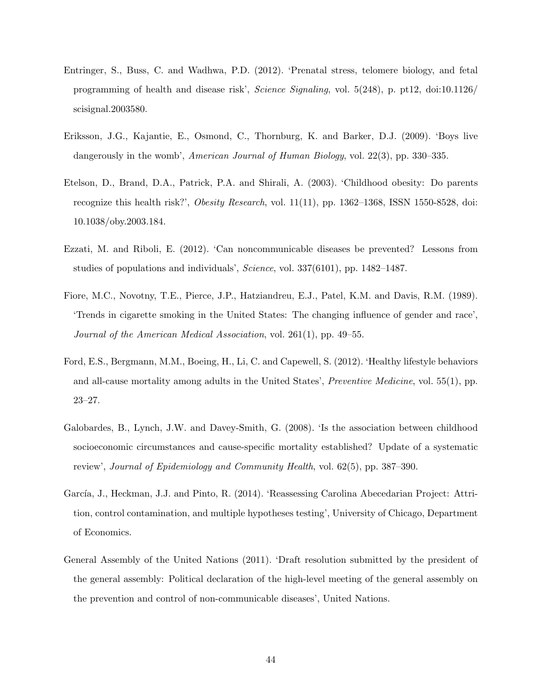- <span id="page-46-4"></span>Entringer, S., Buss, C. and Wadhwa, P.D. (2012). 'Prenatal stress, telomere biology, and fetal programming of health and disease risk', Science Signaling, vol. 5(248), p. pt12, doi:10.1126/ scisignal.2003580.
- <span id="page-46-6"></span>Eriksson, J.G., Kajantie, E., Osmond, C., Thornburg, K. and Barker, D.J. (2009). 'Boys live dangerously in the womb', American Journal of Human Biology, vol. 22(3), pp. 330–335.
- <span id="page-46-8"></span>Etelson, D., Brand, D.A., Patrick, P.A. and Shirali, A. (2003). 'Childhood obesity: Do parents recognize this health risk?', Obesity Research, vol. 11(11), pp. 1362–1368, ISSN 1550-8528, doi: 10.1038/oby.2003.184.
- <span id="page-46-3"></span>Ezzati, M. and Riboli, E. (2012). 'Can noncommunicable diseases be prevented? Lessons from studies of populations and individuals', Science, vol. 337(6101), pp. 1482–1487.
- <span id="page-46-7"></span>Fiore, M.C., Novotny, T.E., Pierce, J.P., Hatziandreu, E.J., Patel, K.M. and Davis, R.M. (1989). 'Trends in cigarette smoking in the United States: The changing influence of gender and race', Journal of the American Medical Association, vol. 261(1), pp. 49–55.
- <span id="page-46-0"></span>Ford, E.S., Bergmann, M.M., Boeing, H., Li, C. and Capewell, S. (2012). 'Healthy lifestyle behaviors and all-cause mortality among adults in the United States', Preventive Medicine, vol. 55(1), pp. 23–27.
- <span id="page-46-1"></span>Galobardes, B., Lynch, J.W. and Davey-Smith, G. (2008). 'Is the association between childhood socioeconomic circumstances and cause-specific mortality established? Update of a systematic review', Journal of Epidemiology and Community Health, vol. 62(5), pp. 387–390.
- <span id="page-46-5"></span>García, J., Heckman, J.J. and Pinto, R. (2014). 'Reassessing Carolina Abecedarian Project: Attrition, control contamination, and multiple hypotheses testing', University of Chicago, Department of Economics.
- <span id="page-46-2"></span>General Assembly of the United Nations (2011). 'Draft resolution submitted by the president of the general assembly: Political declaration of the high-level meeting of the general assembly on the prevention and control of non-communicable diseases', United Nations.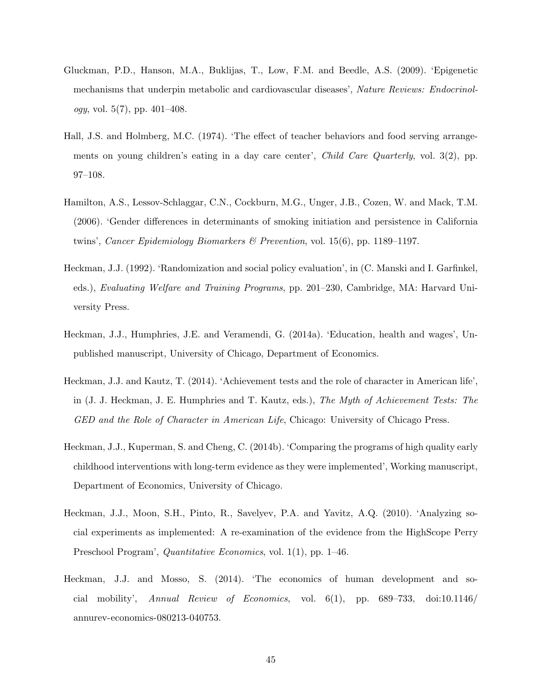- <span id="page-47-0"></span>Gluckman, P.D., Hanson, M.A., Buklijas, T., Low, F.M. and Beedle, A.S. (2009). 'Epigenetic mechanisms that underpin metabolic and cardiovascular diseases', Nature Reviews: Endocrinol*ogy*, vol.  $5(7)$ , pp.  $401-408$ .
- <span id="page-47-4"></span>Hall, J.S. and Holmberg, M.C. (1974). 'The effect of teacher behaviors and food serving arrangements on young children's eating in a day care center', *Child Care Quarterly*, vol. 3(2), pp. 97–108.
- <span id="page-47-6"></span>Hamilton, A.S., Lessov-Schlaggar, C.N., Cockburn, M.G., Unger, J.B., Cozen, W. and Mack, T.M. (2006). 'Gender differences in determinants of smoking initiation and persistence in California twins', Cancer Epidemiology Biomarkers & Prevention, vol. 15(6), pp. 1189–1197.
- <span id="page-47-5"></span>Heckman, J.J. (1992). 'Randomization and social policy evaluation', in (C. Manski and I. Garfinkel, eds.), Evaluating Welfare and Training Programs, pp. 201–230, Cambridge, MA: Harvard University Press.
- <span id="page-47-7"></span>Heckman, J.J., Humphries, J.E. and Veramendi, G. (2014a). 'Education, health and wages', Unpublished manuscript, University of Chicago, Department of Economics.
- <span id="page-47-3"></span>Heckman, J.J. and Kautz, T. (2014). 'Achievement tests and the role of character in American life', in (J. J. Heckman, J. E. Humphries and T. Kautz, eds.), The Myth of Achievement Tests: The GED and the Role of Character in American Life, Chicago: University of Chicago Press.
- <span id="page-47-2"></span>Heckman, J.J., Kuperman, S. and Cheng, C. (2014b). 'Comparing the programs of high quality early childhood interventions with long-term evidence as they were implemented', Working manuscript, Department of Economics, University of Chicago.
- <span id="page-47-1"></span>Heckman, J.J., Moon, S.H., Pinto, R., Savelyev, P.A. and Yavitz, A.Q. (2010). 'Analyzing social experiments as implemented: A re-examination of the evidence from the HighScope Perry Preschool Program', *Quantitative Economics*, vol. 1(1), pp. 1–46.
- <span id="page-47-8"></span>Heckman, J.J. and Mosso, S. (2014). 'The economics of human development and social mobility', Annual Review of Economics, vol.  $6(1)$ , pp.  $689-733$ , doi:10.1146/ annurev-economics-080213-040753.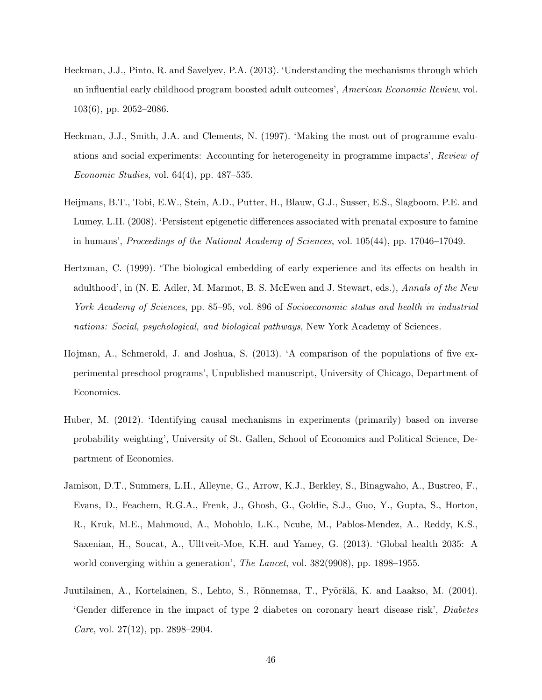- <span id="page-48-6"></span>Heckman, J.J., Pinto, R. and Savelyev, P.A. (2013). 'Understanding the mechanisms through which an influential early childhood program boosted adult outcomes', American Economic Review, vol. 103(6), pp. 2052–2086.
- <span id="page-48-4"></span>Heckman, J.J., Smith, J.A. and Clements, N. (1997). 'Making the most out of programme evaluations and social experiments: Accounting for heterogeneity in programme impacts', Review of Economic Studies, vol.  $64(4)$ , pp.  $487-535$ .
- <span id="page-48-1"></span>Heijmans, B.T., Tobi, E.W., Stein, A.D., Putter, H., Blauw, G.J., Susser, E.S., Slagboom, P.E. and Lumey, L.H. (2008). 'Persistent epigenetic differences associated with prenatal exposure to famine in humans', Proceedings of the National Academy of Sciences, vol. 105(44), pp. 17046–17049.
- <span id="page-48-2"></span>Hertzman, C. (1999). 'The biological embedding of early experience and its effects on health in adulthood', in (N. E. Adler, M. Marmot, B. S. McEwen and J. Stewart, eds.), Annals of the New York Academy of Sciences, pp. 85–95, vol. 896 of Socioeconomic status and health in industrial nations: Social, psychological, and biological pathways, New York Academy of Sciences.
- <span id="page-48-3"></span>Hojman, A., Schmerold, J. and Joshua, S. (2013). 'A comparison of the populations of five experimental preschool programs', Unpublished manuscript, University of Chicago, Department of Economics.
- <span id="page-48-5"></span>Huber, M. (2012). 'Identifying causal mechanisms in experiments (primarily) based on inverse probability weighting', University of St. Gallen, School of Economics and Political Science, Department of Economics.
- <span id="page-48-0"></span>Jamison, D.T., Summers, L.H., Alleyne, G., Arrow, K.J., Berkley, S., Binagwaho, A., Bustreo, F., Evans, D., Feachem, R.G.A., Frenk, J., Ghosh, G., Goldie, S.J., Guo, Y., Gupta, S., Horton, R., Kruk, M.E., Mahmoud, A., Mohohlo, L.K., Ncube, M., Pablos-Mendez, A., Reddy, K.S., Saxenian, H., Soucat, A., Ulltveit-Moe, K.H. and Yamey, G. (2013). 'Global health 2035: A world converging within a generation', The Lancet, vol. 382(9908), pp. 1898–1955.
- <span id="page-48-7"></span>Juutilainen, A., Kortelainen, S., Lehto, S., Rönnemaa, T., Pyörälä, K. and Laakso, M. (2004). 'Gender difference in the impact of type 2 diabetes on coronary heart disease risk', Diabetes *Care*, vol. 27(12), pp. 2898–2904.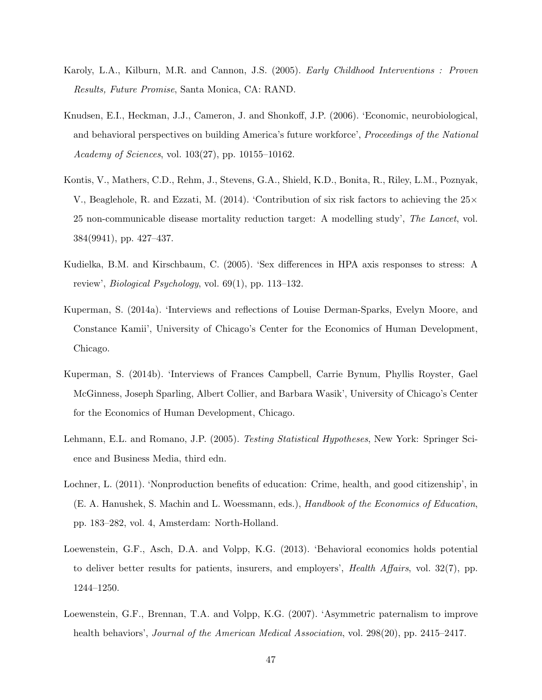- <span id="page-49-4"></span>Karoly, L.A., Kilburn, M.R. and Cannon, J.S. (2005). Early Childhood Interventions : Proven Results, Future Promise, Santa Monica, CA: RAND.
- <span id="page-49-3"></span>Knudsen, E.I., Heckman, J.J., Cameron, J. and Shonkoff, J.P. (2006). 'Economic, neurobiological, and behavioral perspectives on building America's future workforce', Proceedings of the National Academy of Sciences, vol. 103(27), pp. 10155–10162.
- <span id="page-49-0"></span>Kontis, V., Mathers, C.D., Rehm, J., Stevens, G.A., Shield, K.D., Bonita, R., Riley, L.M., Poznyak, V., Beaglehole, R. and Ezzati, M. (2014). 'Contribution of six risk factors to achieving the  $25\times$ 25 non-communicable disease mortality reduction target: A modelling study', The Lancet, vol. 384(9941), pp. 427–437.
- <span id="page-49-8"></span>Kudielka, B.M. and Kirschbaum, C. (2005). 'Sex differences in HPA axis responses to stress: A review', *Biological Psychology*, vol.  $69(1)$ , pp. 113–132.
- <span id="page-49-5"></span>Kuperman, S. (2014a). 'Interviews and reflections of Louise Derman-Sparks, Evelyn Moore, and Constance Kamii', University of Chicago's Center for the Economics of Human Development, Chicago.
- <span id="page-49-6"></span>Kuperman, S. (2014b). 'Interviews of Frances Campbell, Carrie Bynum, Phyllis Royster, Gael McGinness, Joseph Sparling, Albert Collier, and Barbara Wasik', University of Chicago's Center for the Economics of Human Development, Chicago.
- <span id="page-49-7"></span>Lehmann, E.L. and Romano, J.P. (2005). Testing Statistical Hypotheses, New York: Springer Science and Business Media, third edn.
- <span id="page-49-9"></span>Lochner, L. (2011). 'Nonproduction benefits of education: Crime, health, and good citizenship', in (E. A. Hanushek, S. Machin and L. Woessmann, eds.), Handbook of the Economics of Education, pp. 183–282, vol. 4, Amsterdam: North-Holland.
- <span id="page-49-1"></span>Loewenstein, G.F., Asch, D.A. and Volpp, K.G. (2013). 'Behavioral economics holds potential to deliver better results for patients, insurers, and employers', Health Affairs, vol. 32(7), pp. 1244–1250.
- <span id="page-49-2"></span>Loewenstein, G.F., Brennan, T.A. and Volpp, K.G. (2007). 'Asymmetric paternalism to improve health behaviors', *Journal of the American Medical Association*, vol. 298(20), pp. 2415–2417.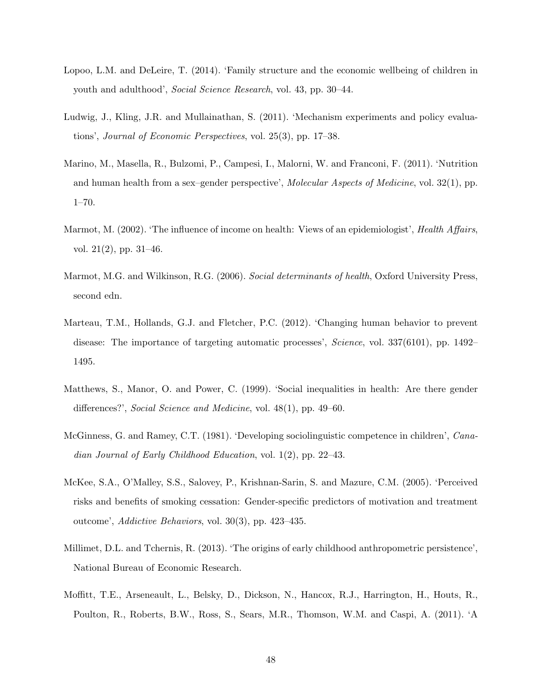- <span id="page-50-2"></span>Lopoo, L.M. and DeLeire, T. (2014). 'Family structure and the economic wellbeing of children in youth and adulthood', Social Science Research, vol. 43, pp. 30–44.
- <span id="page-50-4"></span>Ludwig, J., Kling, J.R. and Mullainathan, S. (2011). 'Mechanism experiments and policy evaluations', Journal of Economic Perspectives, vol. 25(3), pp. 17–38.
- <span id="page-50-5"></span>Marino, M., Masella, R., Bulzomi, P., Campesi, I., Malorni, W. and Franconi, F. (2011). 'Nutrition and human health from a sex–gender perspective', Molecular Aspects of Medicine, vol. 32(1), pp. 1–70.
- <span id="page-50-9"></span>Marmot, M. (2002). 'The influence of income on health: Views of an epidemiologist', *Health Affairs*, vol. 21(2), pp. 31–46.
- <span id="page-50-1"></span>Marmot, M.G. and Wilkinson, R.G. (2006). Social determinants of health, Oxford University Press, second edn.
- <span id="page-50-0"></span>Marteau, T.M., Hollands, G.J. and Fletcher, P.C. (2012). 'Changing human behavior to prevent disease: The importance of targeting automatic processes', Science, vol. 337(6101), pp. 1492– 1495.
- <span id="page-50-6"></span>Matthews, S., Manor, O. and Power, C. (1999). 'Social inequalities in health: Are there gender differences?', Social Science and Medicine, vol. 48(1), pp. 49–60.
- <span id="page-50-3"></span>McGinness, G. and Ramey, C.T. (1981). 'Developing sociolinguistic competence in children', Canadian Journal of Early Childhood Education, vol. 1(2), pp. 22–43.
- <span id="page-50-7"></span>McKee, S.A., O'Malley, S.S., Salovey, P., Krishnan-Sarin, S. and Mazure, C.M. (2005). 'Perceived risks and benefits of smoking cessation: Gender-specific predictors of motivation and treatment outcome', Addictive Behaviors, vol. 30(3), pp. 423–435.
- <span id="page-50-8"></span>Millimet, D.L. and Tchernis, R. (2013). 'The origins of early childhood anthropometric persistence', National Bureau of Economic Research.
- <span id="page-50-10"></span>Moffitt, T.E., Arseneault, L., Belsky, D., Dickson, N., Hancox, R.J., Harrington, H., Houts, R., Poulton, R., Roberts, B.W., Ross, S., Sears, M.R., Thomson, W.M. and Caspi, A. (2011). 'A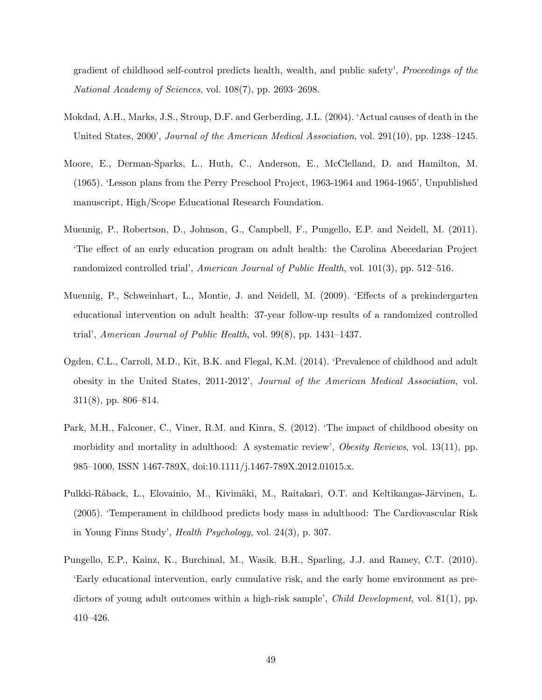gradient of childhood self-control predicts health, wealth, and public safety', Proceedings of the National Academy of Sciences, vol. 108(7), pp. 2693–2698.

- <span id="page-51-0"></span>Mokdad, A.H., Marks, J.S., Stroup, D.F. and Gerberding, J.L. (2004). 'Actual causes of death in the United States, 2000', Journal of the American Medical Association, vol. 291(10), pp. 1238–1245.
- <span id="page-51-2"></span>Moore, E., Derman-Sparks, L., Huth, C., Anderson, E., McClelland, D. and Hamilton, M. (1965). 'Lesson plans from the Perry Preschool Project, 1963-1964 and 1964-1965', Unpublished manuscript, High/Scope Educational Research Foundation.
- <span id="page-51-3"></span>Muennig, P., Robertson, D., Johnson, G., Campbell, F., Pungello, E.P. and Neidell, M. (2011). 'The effect of an early education program on adult health: the Carolina Abecedarian Project randomized controlled trial', American Journal of Public Health, vol. 101(3), pp. 512–516.
- <span id="page-51-4"></span>Muennig, P., Schweinhart, L., Montie, J. and Neidell, M. (2009). 'Effects of a prekindergarten educational intervention on adult health: 37-year follow-up results of a randomized controlled trial', American Journal of Public Health, vol. 99(8), pp. 1431–1437.
- <span id="page-51-5"></span>Ogden, C.L., Carroll, M.D., Kit, B.K. and Flegal, K.M. (2014). 'Prevalence of childhood and adult obesity in the United States, 2011-2012', Journal of the American Medical Association, vol. 311(8), pp. 806–814.
- <span id="page-51-6"></span>Park, M.H., Falconer, C., Viner, R.M. and Kinra, S. (2012). 'The impact of childhood obesity on morbidity and mortality in adulthood: A systematic review', *Obesity Reviews*, vol. 13(11), pp. 985–1000, ISSN 1467-789X, doi:10.1111/j.1467-789X.2012.01015.x.
- <span id="page-51-7"></span>Pulkki-Råback, L., Elovainio, M., Kivimäki, M., Raitakari, O.T. and Keltikangas-Järvinen, L. (2005). 'Temperament in childhood predicts body mass in adulthood: The Cardiovascular Risk in Young Finns Study', Health Psychology, vol. 24(3), p. 307.
- <span id="page-51-1"></span>Pungello, E.P., Kainz, K., Burchinal, M., Wasik, B.H., Sparling, J.J. and Ramey, C.T. (2010). 'Early educational intervention, early cumulative risk, and the early home environment as predictors of young adult outcomes within a high-risk sample', *Child Development*, vol. 81(1), pp. 410–426.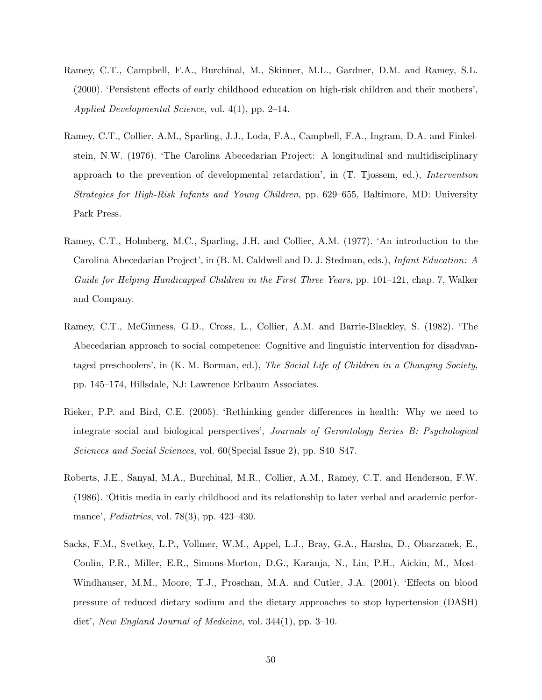- <span id="page-52-0"></span>Ramey, C.T., Campbell, F.A., Burchinal, M., Skinner, M.L., Gardner, D.M. and Ramey, S.L. (2000). 'Persistent effects of early childhood education on high-risk children and their mothers', Applied Developmental Science, vol. 4(1), pp. 2–14.
- <span id="page-52-1"></span>Ramey, C.T., Collier, A.M., Sparling, J.J., Loda, F.A., Campbell, F.A., Ingram, D.A. and Finkelstein, N.W. (1976). 'The Carolina Abecedarian Project: A longitudinal and multidisciplinary approach to the prevention of developmental retardation', in (T. Tjossem, ed.), Intervention Strategies for High-Risk Infants and Young Children, pp. 629–655, Baltimore, MD: University Park Press.
- <span id="page-52-3"></span>Ramey, C.T., Holmberg, M.C., Sparling, J.H. and Collier, A.M. (1977). 'An introduction to the Carolina Abecedarian Project', in (B. M. Caldwell and D. J. Stedman, eds.), Infant Education: A Guide for Helping Handicapped Children in the First Three Years, pp. 101–121, chap. 7, Walker and Company.
- <span id="page-52-2"></span>Ramey, C.T., McGinness, G.D., Cross, L., Collier, A.M. and Barrie-Blackley, S. (1982). 'The Abecedarian approach to social competence: Cognitive and linguistic intervention for disadvantaged preschoolers', in (K. M. Borman, ed.), The Social Life of Children in a Changing Society, pp. 145–174, Hillsdale, NJ: Lawrence Erlbaum Associates.
- <span id="page-52-5"></span>Rieker, P.P. and Bird, C.E. (2005). 'Rethinking gender differences in health: Why we need to integrate social and biological perspectives', Journals of Gerontology Series B: Psychological Sciences and Social Sciences, vol. 60(Special Issue 2), pp. S40–S47.
- <span id="page-52-4"></span>Roberts, J.E., Sanyal, M.A., Burchinal, M.R., Collier, A.M., Ramey, C.T. and Henderson, F.W. (1986). 'Otitis media in early childhood and its relationship to later verbal and academic performance', Pediatrics, vol. 78(3), pp. 423–430.
- <span id="page-52-6"></span>Sacks, F.M., Svetkey, L.P., Vollmer, W.M., Appel, L.J., Bray, G.A., Harsha, D., Obarzanek, E., Conlin, P.R., Miller, E.R., Simons-Morton, D.G., Karanja, N., Lin, P.H., Aickin, M., Most-Windhauser, M.M., Moore, T.J., Proschan, M.A. and Cutler, J.A. (2001). 'Effects on blood pressure of reduced dietary sodium and the dietary approaches to stop hypertension (DASH) diet', New England Journal of Medicine, vol. 344(1), pp. 3–10.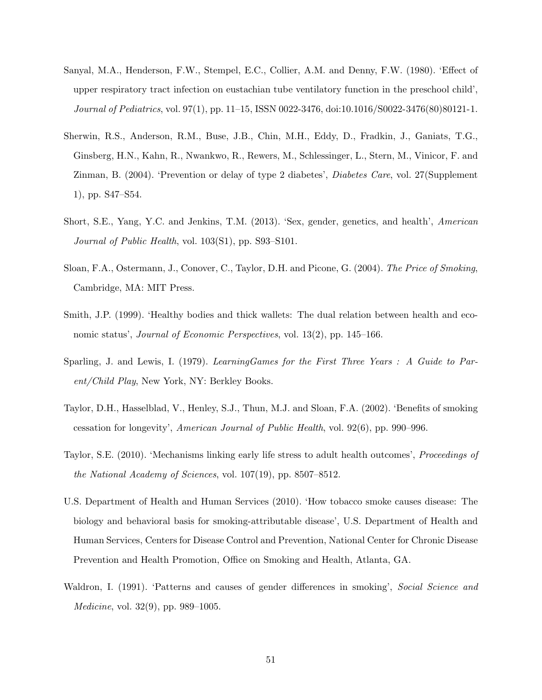- <span id="page-53-2"></span>Sanyal, M.A., Henderson, F.W., Stempel, E.C., Collier, A.M. and Denny, F.W. (1980). 'Effect of upper respiratory tract infection on eustachian tube ventilatory function in the preschool child', Journal of Pediatrics, vol. 97(1), pp. 11–15, ISSN 0022-3476, doi:10.1016/S0022-3476(80)80121-1.
- <span id="page-53-0"></span>Sherwin, R.S., Anderson, R.M., Buse, J.B., Chin, M.H., Eddy, D., Fradkin, J., Ganiats, T.G., Ginsberg, H.N., Kahn, R., Nwankwo, R., Rewers, M., Schlessinger, L., Stern, M., Vinicor, F. and Zinman, B. (2004). 'Prevention or delay of type 2 diabetes', Diabetes Care, vol. 27(Supplement 1), pp. S47–S54.
- <span id="page-53-3"></span>Short, S.E., Yang, Y.C. and Jenkins, T.M. (2013). 'Sex, gender, genetics, and health', American Journal of Public Health, vol. 103(S1), pp. S93–S101.
- <span id="page-53-7"></span>Sloan, F.A., Ostermann, J., Conover, C., Taylor, D.H. and Picone, G. (2004). The Price of Smoking, Cambridge, MA: MIT Press.
- <span id="page-53-9"></span>Smith, J.P. (1999). 'Healthy bodies and thick wallets: The dual relation between health and economic status', Journal of Economic Perspectives, vol. 13(2), pp. 145–166.
- <span id="page-53-1"></span>Sparling, J. and Lewis, I. (1979). LearningGames for the First Three Years : A Guide to Parent/Child Play, New York, NY: Berkley Books.
- <span id="page-53-6"></span>Taylor, D.H., Hasselblad, V., Henley, S.J., Thun, M.J. and Sloan, F.A. (2002). 'Benefits of smoking cessation for longevity', American Journal of Public Health, vol. 92(6), pp. 990–996.
- <span id="page-53-8"></span>Taylor, S.E. (2010). 'Mechanisms linking early life stress to adult health outcomes', Proceedings of the National Academy of Sciences, vol. 107(19), pp. 8507–8512.
- <span id="page-53-5"></span>U.S. Department of Health and Human Services (2010). 'How tobacco smoke causes disease: The biology and behavioral basis for smoking-attributable disease', U.S. Department of Health and Human Services, Centers for Disease Control and Prevention, National Center for Chronic Disease Prevention and Health Promotion, Office on Smoking and Health, Atlanta, GA.
- <span id="page-53-4"></span>Waldron, I. (1991). 'Patterns and causes of gender differences in smoking', Social Science and Medicine, vol. 32(9), pp. 989–1005.